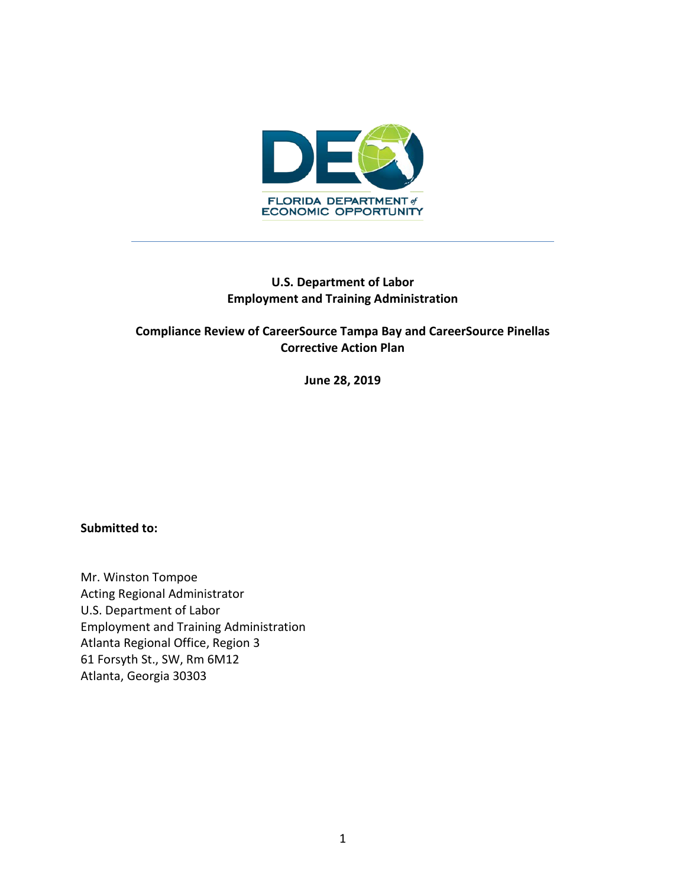

## **U.S. Department of Labor Employment and Training Administration**

## **Compliance Review of CareerSource Tampa Bay and CareerSource Pinellas Corrective Action Plan**

**June 28, 2019**

#### **Submitted to:**

Mr. Winston Tompoe Acting Regional Administrator U.S. Department of Labor Employment and Training Administration Atlanta Regional Office, Region 3 61 Forsyth St., SW, Rm 6M12 Atlanta, Georgia 30303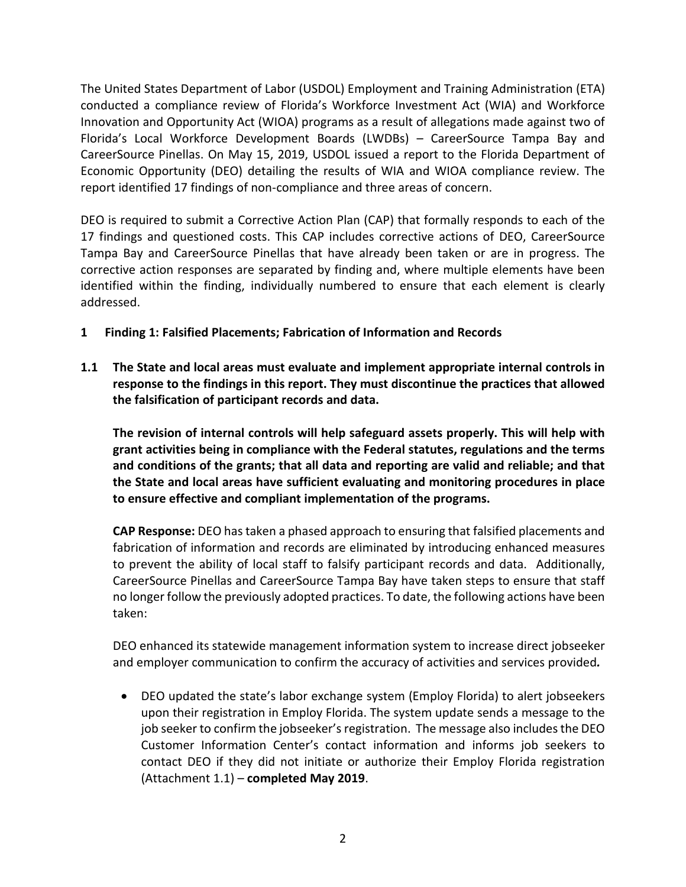The United States Department of Labor (USDOL) Employment and Training Administration (ETA) conducted a compliance review of Florida's Workforce Investment Act (WIA) and Workforce Innovation and Opportunity Act (WIOA) programs as a result of allegations made against two of Florida's Local Workforce Development Boards (LWDBs) – CareerSource Tampa Bay and CareerSource Pinellas. On May 15, 2019, USDOL issued a report to the Florida Department of Economic Opportunity (DEO) detailing the results of WIA and WIOA compliance review. The report identified 17 findings of non-compliance and three areas of concern.

DEO is required to submit a Corrective Action Plan (CAP) that formally responds to each of the 17 findings and questioned costs. This CAP includes corrective actions of DEO, CareerSource Tampa Bay and CareerSource Pinellas that have already been taken or are in progress. The corrective action responses are separated by finding and, where multiple elements have been identified within the finding, individually numbered to ensure that each element is clearly addressed.

- **1 Finding 1: Falsified Placements; Fabrication of Information and Records**
- **1.1 The State and local areas must evaluate and implement appropriate internal controls in response to the findings in this report. They must discontinue the practices that allowed the falsification of participant records and data.**

**The revision of internal controls will help safeguard assets properly. This will help with grant activities being in compliance with the Federal statutes, regulations and the terms and conditions of the grants; that all data and reporting are valid and reliable; and that the State and local areas have sufficient evaluating and monitoring procedures in place to ensure effective and compliant implementation of the programs.**

**CAP Response:** DEO has taken a phased approach to ensuring that falsified placements and fabrication of information and records are eliminated by introducing enhanced measures to prevent the ability of local staff to falsify participant records and data. Additionally, CareerSource Pinellas and CareerSource Tampa Bay have taken steps to ensure that staff no longer follow the previously adopted practices. To date, the following actions have been taken:

DEO enhanced its statewide management information system to increase direct jobseeker and employer communication to confirm the accuracy of activities and services provided*.*

• DEO updated the state's labor exchange system (Employ Florida) to alert jobseekers upon their registration in Employ Florida. The system update sends a message to the job seeker to confirm the jobseeker's registration. The message also includes the DEO Customer Information Center's contact information and informs job seekers to contact DEO if they did not initiate or authorize their Employ Florida registration (Attachment 1.1) – **completed May 2019**.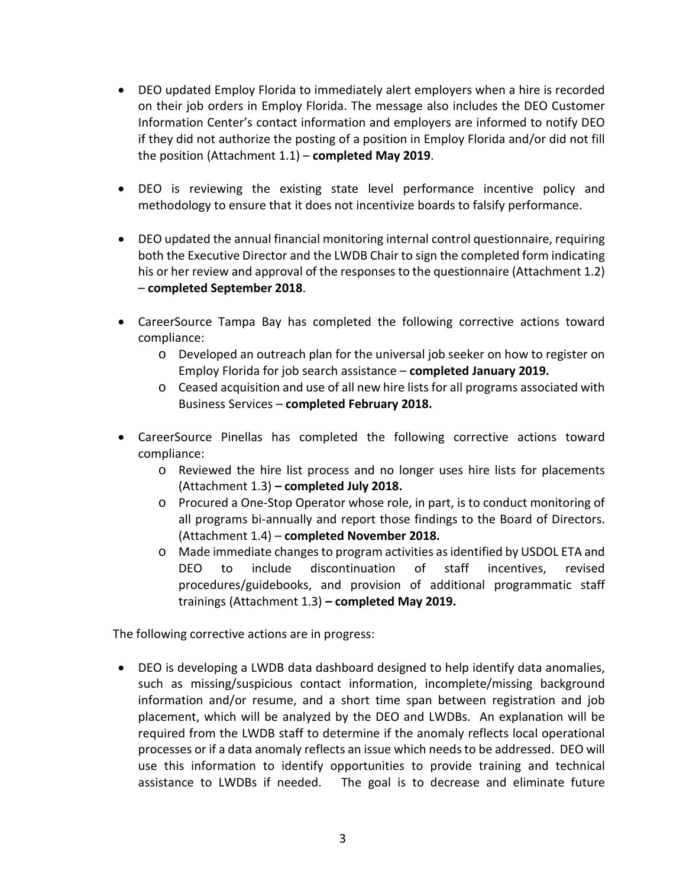- DEO updated Employ Florida to immediately alert employers when a hire is recorded on their job orders in Employ Florida. The message also includes the DEO Customer Information Center's contact information and employers are informed to notify DEO if they did not authorize the posting of a position in Employ Florida and/or did not fill the position (Attachment 1.1) – **completed May 2019**.
- DEO is reviewing the existing state level performance incentive policy and methodology to ensure that it does not incentivize boards to falsify performance.
- DEO updated the annual financial monitoring internal control questionnaire, requiring both the Executive Director and the LWDB Chair to sign the completed form indicating his or her review and approval of the responses to the questionnaire (Attachment 1.2) – **completed September 2018**.
- CareerSource Tampa Bay has completed the following corrective actions toward compliance:
	- o Developed an outreach plan for the universal job seeker on how to register on Employ Florida for job search assistance – **completed January 2019.**
	- o Ceased acquisition and use of all new hire lists for all programs associated with Business Services – **completed February 2018.**
- CareerSource Pinellas has completed the following corrective actions toward compliance:
	- o Reviewed the hire list process and no longer uses hire lists for placements (Attachment 1.3) *–* **completed July 2018.**
	- o Procured a One-Stop Operator whose role, in part, is to conduct monitoring of all programs bi-annually and report those findings to the Board of Directors. (Attachment 1.4) – **completed November 2018.**
	- o Made immediate changes to program activities as identified by USDOL ETA and DEO to include discontinuation of staff incentives, revised procedures/guidebooks, and provision of additional programmatic staff trainings (Attachment 1.3) *–* **completed May 2019.**

The following corrective actions are in progress:

• DEO is developing a LWDB data dashboard designed to help identify data anomalies, such as missing/suspicious contact information, incomplete/missing background information and/or resume, and a short time span between registration and job placement, which will be analyzed by the DEO and LWDBs. An explanation will be required from the LWDB staff to determine if the anomaly reflects local operational processes or if a data anomaly reflects an issue which needs to be addressed. DEO will use this information to identify opportunities to provide training and technical assistance to LWDBs if needed. The goal is to decrease and eliminate future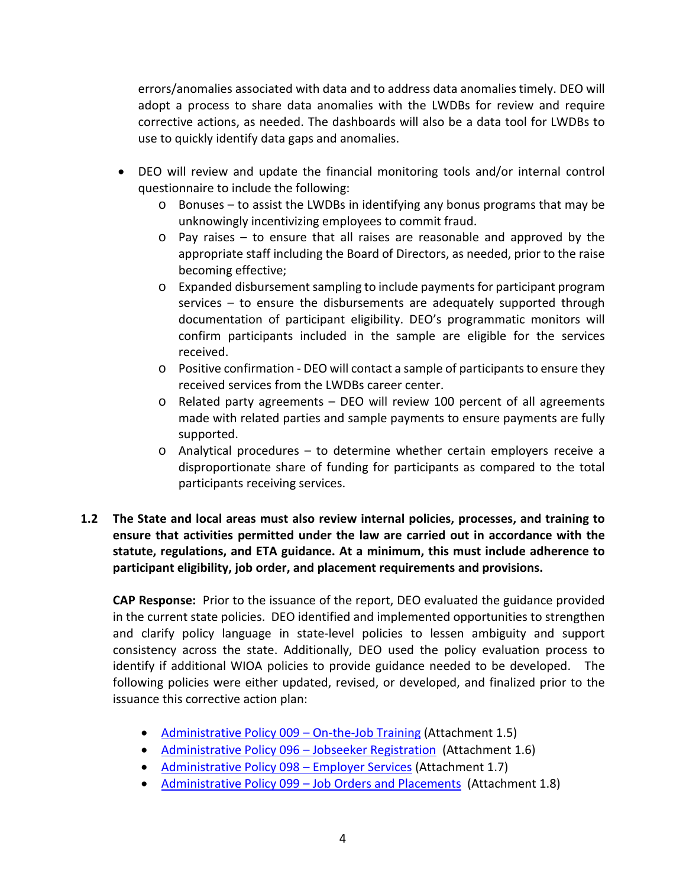errors/anomalies associated with data and to address data anomalies timely. DEO will adopt a process to share data anomalies with the LWDBs for review and require corrective actions, as needed. The dashboards will also be a data tool for LWDBs to use to quickly identify data gaps and anomalies.

- DEO will review and update the financial monitoring tools and/or internal control questionnaire to include the following:
	- $\circ$  Bonuses to assist the LWDBs in identifying any bonus programs that may be unknowingly incentivizing employees to commit fraud.
	- $\circ$  Pay raises to ensure that all raises are reasonable and approved by the appropriate staff including the Board of Directors, as needed, prior to the raise becoming effective;
	- o Expanded disbursement sampling to include payments for participant program services – to ensure the disbursements are adequately supported through documentation of participant eligibility. DEO's programmatic monitors will confirm participants included in the sample are eligible for the services received.
	- o Positive confirmation DEO will contact a sample of participants to ensure they received services from the LWDBs career center.
	- o Related party agreements DEO will review 100 percent of all agreements made with related parties and sample payments to ensure payments are fully supported.
	- o Analytical procedures to determine whether certain employers receive a disproportionate share of funding for participants as compared to the total participants receiving services.
- **1.2 The State and local areas must also review internal policies, processes, and training to ensure that activities permitted under the law are carried out in accordance with the statute, regulations, and ETA guidance. At a minimum, this must include adherence to participant eligibility, job order, and placement requirements and provisions.**

**CAP Response:** Prior to the issuance of the report, DEO evaluated the guidance provided in the current state policies. DEO identified and implemented opportunities to strengthen and clarify policy language in state-level policies to lessen ambiguity and support consistency across the state. Additionally, DEO used the policy evaluation process to identify if additional WIOA policies to provide guidance needed to be developed. The following policies were either updated, revised, or developed, and finalized prior to the issuance this corrective action plan:

- [Administrative Policy 009 –](http://www.floridajobs.org/docs/default-source/lwdb-resources/policy-and-guidance/guidance-papers/2019-guidance-papers/adminpol009_ojt-new.pdf?sfvrsn=2) On-the-Job Training (Attachment 1.5)
- Administrative Policy 096 Jobseeker Registration (Attachment 1.6)
- [Administrative Policy 098 –](http://www.floridajobs.org/docs/default-source/lwdb-resources/policy-and-guidance/guidance-papers/2019-guidance-papers/new_adminpol098_employersvcs_strengthened2019.pdf?sfvrsn=2) Employer Services (Attachment 1.7)
- Administrative Policy 099 [Job Orders and Placements](http://www.floridajobs.org/docs/default-source/lwdb-resources/policy-and-guidance/guidance-papers/2019-guidance-papers/new_adminpol099_jobordersandplacements_strengthened2019.pdf?sfvrsn=2) (Attachment 1.8)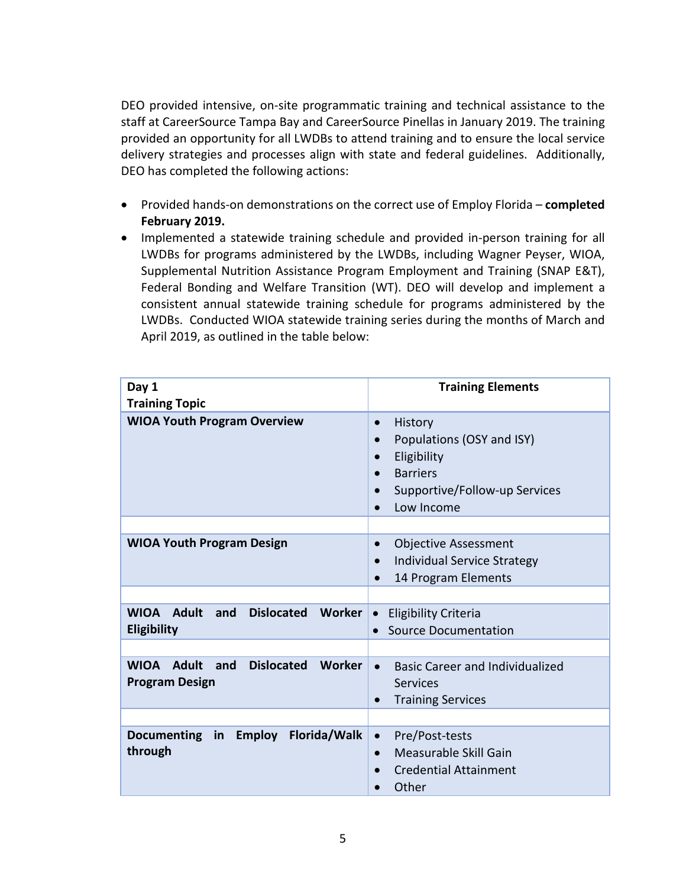DEO provided intensive, on-site programmatic training and technical assistance to the staff at CareerSource Tampa Bay and CareerSource Pinellas in January 2019. The training provided an opportunity for all LWDBs to attend training and to ensure the local service delivery strategies and processes align with state and federal guidelines. Additionally, DEO has completed the following actions:

- Provided hands-on demonstrations on the correct use of Employ Florida **completed February 2019.**
- Implemented a statewide training schedule and provided in-person training for all LWDBs for programs administered by the LWDBs, including Wagner Peyser, WIOA, Supplemental Nutrition Assistance Program Employment and Training (SNAP E&T), Federal Bonding and Welfare Transition (WT). DEO will develop and implement a consistent annual statewide training schedule for programs administered by the LWDBs. Conducted WIOA statewide training series during the months of March and April 2019, as outlined in the table below:

| Day 1<br><b>Training Topic</b>                                                          | <b>Training Elements</b>                                                                                                                                                               |  |
|-----------------------------------------------------------------------------------------|----------------------------------------------------------------------------------------------------------------------------------------------------------------------------------------|--|
| <b>WIOA Youth Program Overview</b>                                                      | History<br>$\bullet$<br>Populations (OSY and ISY)<br>$\bullet$<br>Eligibility<br>$\bullet$<br><b>Barriers</b><br>$\bullet$<br>Supportive/Follow-up Services<br>$\bullet$<br>Low Income |  |
| <b>WIOA Youth Program Design</b>                                                        | <b>Objective Assessment</b><br>$\bullet$<br>Individual Service Strategy<br>14 Program Elements                                                                                         |  |
| <b>WIOA</b><br>Adult<br>and<br><b>Dislocated</b><br><b>Worker</b><br><b>Eligibility</b> | <b>Eligibility Criteria</b><br>$\bullet$<br><b>Source Documentation</b><br>$\bullet$                                                                                                   |  |
| <b>Dislocated</b><br><b>Adult</b><br>Worker<br><b>WIOA</b><br>and                       | <b>Basic Career and Individualized</b><br>$\bullet$                                                                                                                                    |  |
| <b>Program Design</b>                                                                   | <b>Services</b><br><b>Training Services</b>                                                                                                                                            |  |
| <b>Employ</b><br>Florida/Walk<br>Documenting in<br>through                              | Pre/Post-tests<br>$\bullet$<br>Measurable Skill Gain<br>$\bullet$<br><b>Credential Attainment</b><br>Other                                                                             |  |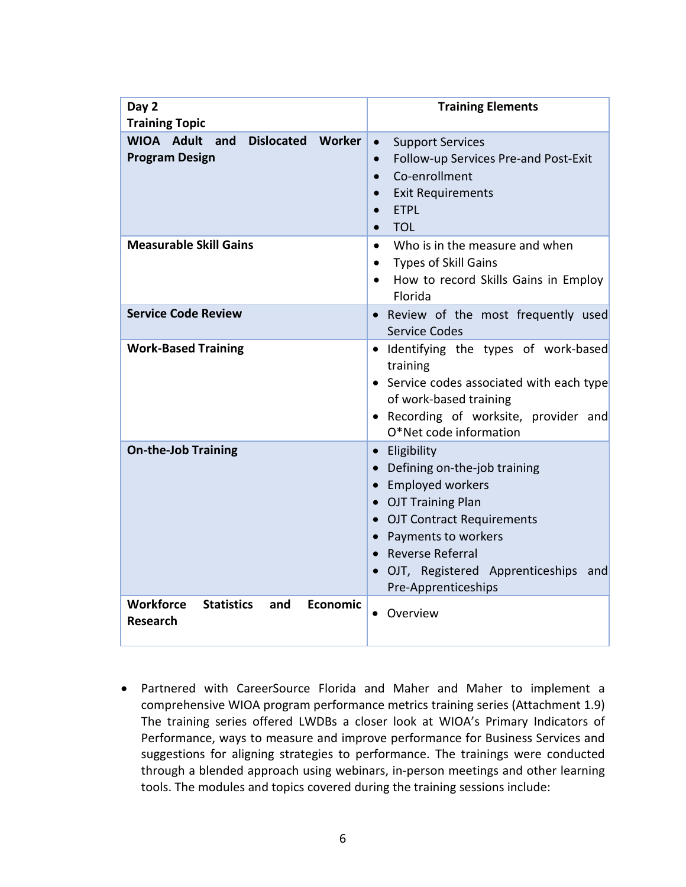| Day 2<br><b>Training Topic</b>                                                     | <b>Training Elements</b>                                                                                                                                                                                                                    |
|------------------------------------------------------------------------------------|---------------------------------------------------------------------------------------------------------------------------------------------------------------------------------------------------------------------------------------------|
| WIOA Adult<br><b>Dislocated</b><br><b>Worker</b><br>and<br><b>Program Design</b>   | <b>Support Services</b><br>$\bullet$<br>Follow-up Services Pre-and Post-Exit<br>$\bullet$<br>Co-enrollment<br><b>Exit Requirements</b><br><b>ETPL</b><br>$\bullet$<br><b>TOL</b><br>$\bullet$                                               |
| <b>Measurable Skill Gains</b>                                                      | Who is in the measure and when<br>$\bullet$<br><b>Types of Skill Gains</b><br>How to record Skills Gains in Employ<br>$\bullet$<br>Florida                                                                                                  |
| <b>Service Code Review</b>                                                         | . Review of the most frequently used<br><b>Service Codes</b>                                                                                                                                                                                |
| <b>Work-Based Training</b>                                                         | · Identifying the types of work-based<br>training<br>• Service codes associated with each type<br>of work-based training<br>• Recording of worksite, provider and<br>O*Net code information                                                 |
| <b>On-the-Job Training</b>                                                         | • Eligibility<br>• Defining on-the-job training<br>• Employed workers<br>• OJT Training Plan<br>• OJT Contract Requirements<br>• Payments to workers<br>• Reverse Referral<br>OJT, Registered Apprenticeships<br>and<br>Pre-Apprenticeships |
| <b>Workforce</b><br><b>Statistics</b><br><b>Economic</b><br>and<br><b>Research</b> | Overview                                                                                                                                                                                                                                    |

• Partnered with CareerSource Florida and Maher and Maher to implement a comprehensive WIOA program performance metrics training series (Attachment 1.9) The training series offered LWDBs a closer look at WIOA's Primary Indicators of Performance, ways to measure and improve performance for Business Services and suggestions for aligning strategies to performance. The trainings were conducted through a blended approach using webinars, in-person meetings and other learning tools. The modules and topics covered during the training sessions include: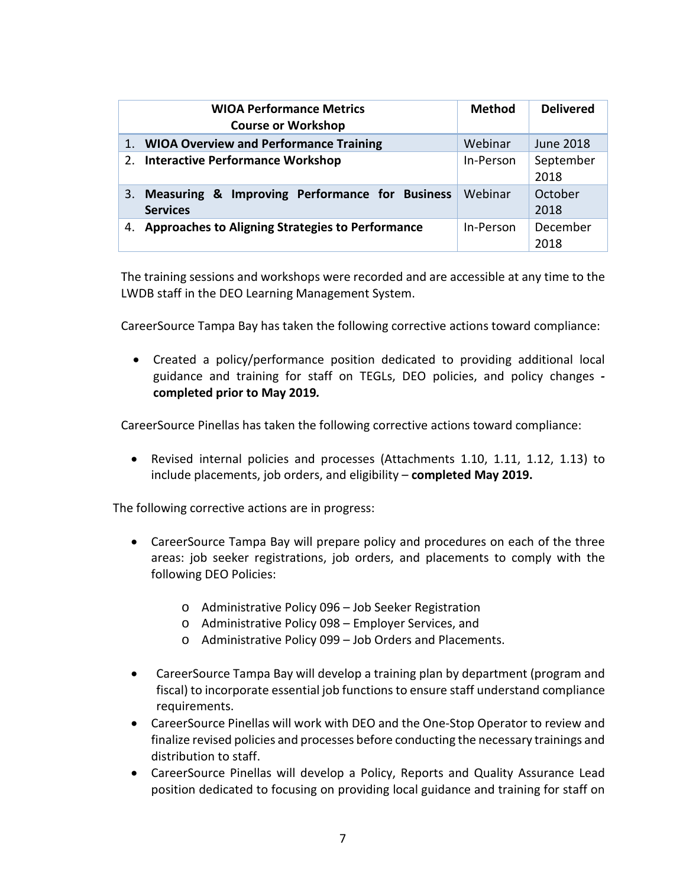|     | <b>WIOA Performance Metrics</b><br><b>Course or Workshop</b>      | <b>Method</b> | <b>Delivered</b>  |
|-----|-------------------------------------------------------------------|---------------|-------------------|
| 1.7 | <b>WIOA Overview and Performance Training</b>                     | Webinar       | June 2018         |
| 2.  | <b>Interactive Performance Workshop</b>                           | In-Person     | September<br>2018 |
| 3.  | Measuring & Improving Performance for Business<br><b>Services</b> | Webinar       | October<br>2018   |
| 4.  | Approaches to Aligning Strategies to Performance                  | In-Person     | December<br>2018  |

The training sessions and workshops were recorded and are accessible at any time to the LWDB staff in the DEO Learning Management System.

CareerSource Tampa Bay has taken the following corrective actions toward compliance:

• Created a policy/performance position dedicated to providing additional local guidance and training for staff on TEGLs, DEO policies, and policy changes  **completed prior to May 2019***.*

CareerSource Pinellas has taken the following corrective actions toward compliance:

• Revised internal policies and processes (Attachments 1.10, 1.11, 1.12, 1.13) to include placements, job orders, and eligibility – **completed May 2019.**

The following corrective actions are in progress:

- CareerSource Tampa Bay will prepare policy and procedures on each of the three areas: job seeker registrations, job orders, and placements to comply with the following DEO Policies:
	- o Administrative Policy 096 Job Seeker Registration
	- o Administrative Policy 098 Employer Services, and
	- o Administrative Policy 099 Job Orders and Placements.
- CareerSource Tampa Bay will develop a training plan by department (program and fiscal) to incorporate essential job functions to ensure staff understand compliance requirements.
- CareerSource Pinellas will work with DEO and the One-Stop Operator to review and finalize revised policies and processes before conducting the necessary trainings and distribution to staff.
- CareerSource Pinellas will develop a Policy, Reports and Quality Assurance Lead position dedicated to focusing on providing local guidance and training for staff on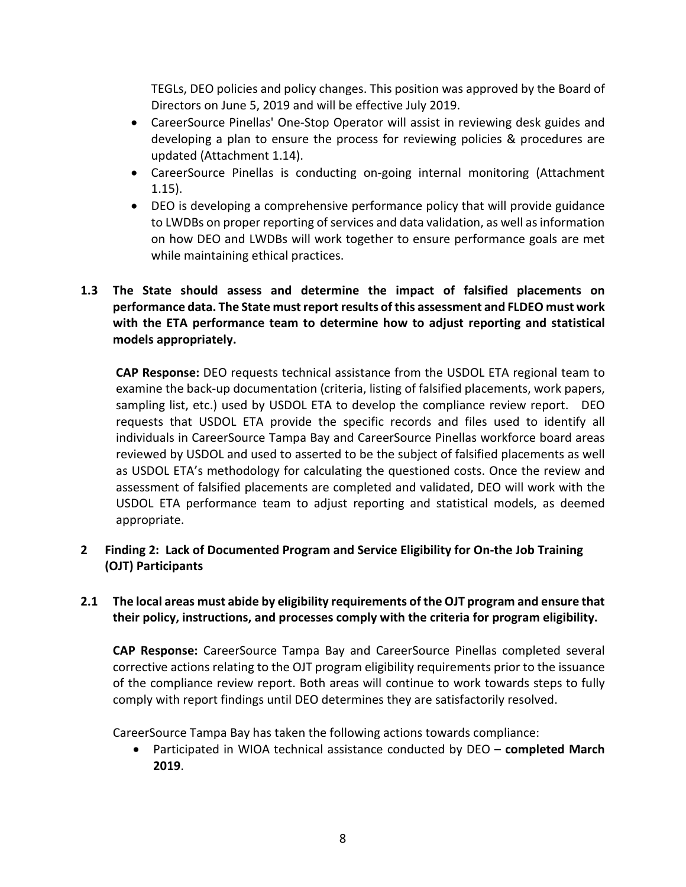TEGLs, DEO policies and policy changes. This position was approved by the Board of Directors on June 5, 2019 and will be effective July 2019.

- CareerSource Pinellas' One-Stop Operator will assist in reviewing desk guides and developing a plan to ensure the process for reviewing policies & procedures are updated (Attachment 1.14).
- CareerSource Pinellas is conducting on-going internal monitoring (Attachment 1.15).
- DEO is developing a comprehensive performance policy that will provide guidance to LWDBs on proper reporting of services and data validation, as well as information on how DEO and LWDBs will work together to ensure performance goals are met while maintaining ethical practices.

## **1.3 The State should assess and determine the impact of falsified placements on performance data. The State must report results of this assessment and FLDEO must work with the ETA performance team to determine how to adjust reporting and statistical models appropriately.**

**CAP Response:** DEO requests technical assistance from the USDOL ETA regional team to examine the back-up documentation (criteria, listing of falsified placements, work papers, sampling list, etc.) used by USDOL ETA to develop the compliance review report. DEO requests that USDOL ETA provide the specific records and files used to identify all individuals in CareerSource Tampa Bay and CareerSource Pinellas workforce board areas reviewed by USDOL and used to asserted to be the subject of falsified placements as well as USDOL ETA's methodology for calculating the questioned costs. Once the review and assessment of falsified placements are completed and validated, DEO will work with the USDOL ETA performance team to adjust reporting and statistical models, as deemed appropriate.

### **2 Finding 2: Lack of Documented Program and Service Eligibility for On-the Job Training (OJT) Participants**

### **2.1 The local areas must abide by eligibility requirements of the OJT program and ensure that their policy, instructions, and processes comply with the criteria for program eligibility.**

**CAP Response:** CareerSource Tampa Bay and CareerSource Pinellas completed several corrective actions relating to the OJT program eligibility requirements prior to the issuance of the compliance review report. Both areas will continue to work towards steps to fully comply with report findings until DEO determines they are satisfactorily resolved.

CareerSource Tampa Bay has taken the following actions towards compliance:

• Participated in WIOA technical assistance conducted by DEO – **completed March 2019**.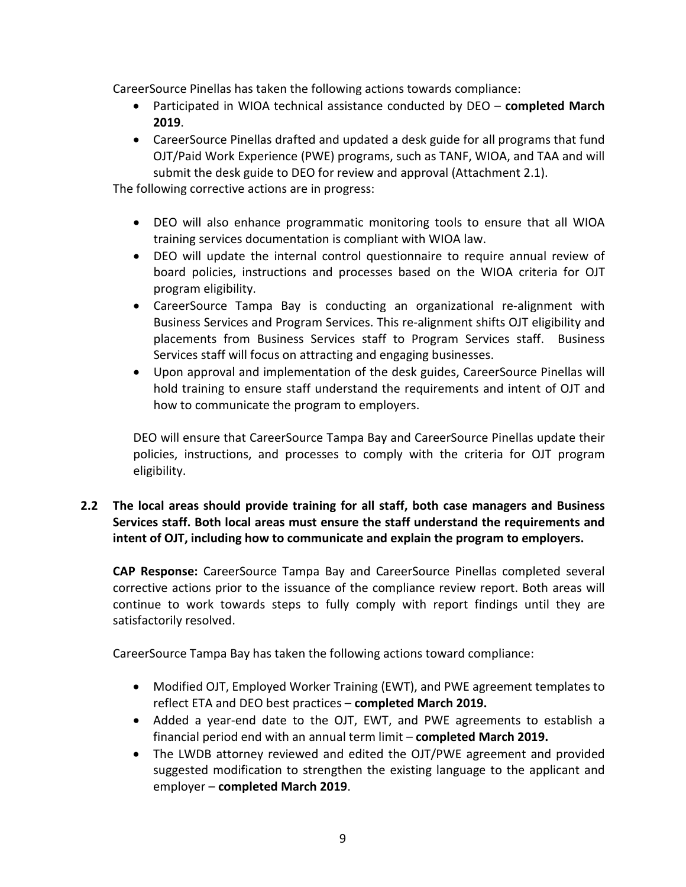CareerSource Pinellas has taken the following actions towards compliance:

- Participated in WIOA technical assistance conducted by DEO **completed March 2019**.
- CareerSource Pinellas drafted and updated a desk guide for all programs that fund OJT/Paid Work Experience (PWE) programs, such as TANF, WIOA, and TAA and will submit the desk guide to DEO for review and approval (Attachment 2.1).

The following corrective actions are in progress:

- DEO will also enhance programmatic monitoring tools to ensure that all WIOA training services documentation is compliant with WIOA law.
- DEO will update the internal control questionnaire to require annual review of board policies, instructions and processes based on the WIOA criteria for OJT program eligibility.
- CareerSource Tampa Bay is conducting an organizational re-alignment with Business Services and Program Services. This re-alignment shifts OJT eligibility and placements from Business Services staff to Program Services staff. Business Services staff will focus on attracting and engaging businesses.
- Upon approval and implementation of the desk guides, CareerSource Pinellas will hold training to ensure staff understand the requirements and intent of OJT and how to communicate the program to employers.

DEO will ensure that CareerSource Tampa Bay and CareerSource Pinellas update their policies, instructions, and processes to comply with the criteria for OJT program eligibility.

## **2.2 The local areas should provide training for all staff, both case managers and Business Services staff. Both local areas must ensure the staff understand the requirements and intent of OJT, including how to communicate and explain the program to employers.**

**CAP Response:** CareerSource Tampa Bay and CareerSource Pinellas completed several corrective actions prior to the issuance of the compliance review report. Both areas will continue to work towards steps to fully comply with report findings until they are satisfactorily resolved.

CareerSource Tampa Bay has taken the following actions toward compliance:

- Modified OJT, Employed Worker Training (EWT), and PWE agreement templates to reflect ETA and DEO best practices – **completed March 2019.**
- Added a year-end date to the OJT, EWT, and PWE agreements to establish a financial period end with an annual term limit – **completed March 2019.**
- The LWDB attorney reviewed and edited the OJT/PWE agreement and provided suggested modification to strengthen the existing language to the applicant and employer – **completed March 2019**.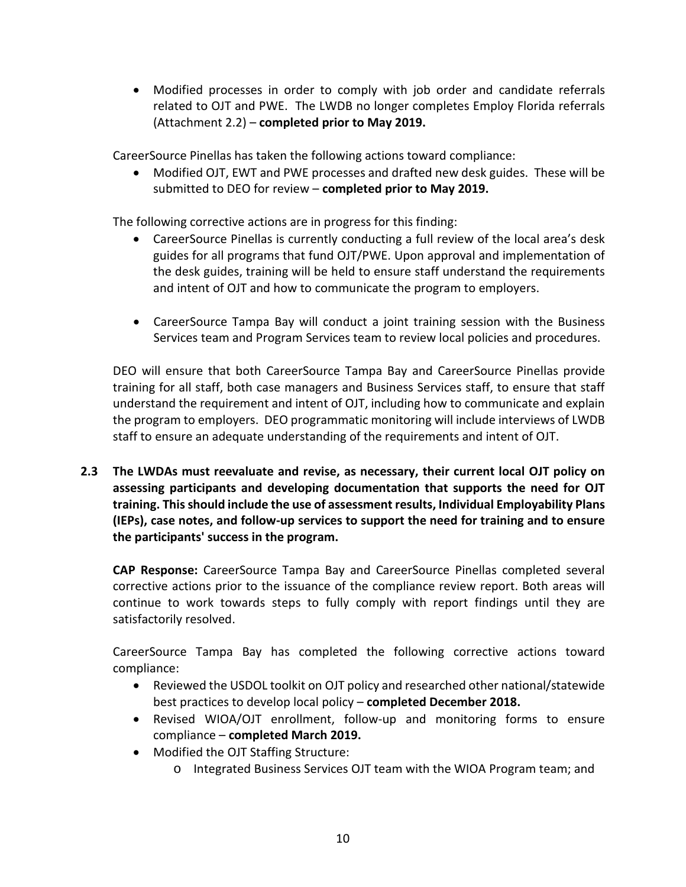• Modified processes in order to comply with job order and candidate referrals related to OJT and PWE. The LWDB no longer completes Employ Florida referrals (Attachment 2.2) – **completed prior to May 2019.**

CareerSource Pinellas has taken the following actions toward compliance:

• Modified OJT, EWT and PWE processes and drafted new desk guides. These will be submitted to DEO for review – **completed prior to May 2019.**

The following corrective actions are in progress for this finding:

- CareerSource Pinellas is currently conducting a full review of the local area's desk guides for all programs that fund OJT/PWE. Upon approval and implementation of the desk guides, training will be held to ensure staff understand the requirements and intent of OJT and how to communicate the program to employers.
- CareerSource Tampa Bay will conduct a joint training session with the Business Services team and Program Services team to review local policies and procedures.

DEO will ensure that both CareerSource Tampa Bay and CareerSource Pinellas provide training for all staff, both case managers and Business Services staff, to ensure that staff understand the requirement and intent of OJT, including how to communicate and explain the program to employers. DEO programmatic monitoring will include interviews of LWDB staff to ensure an adequate understanding of the requirements and intent of OJT.

**2.3 The LWDAs must reevaluate and revise, as necessary, their current local OJT policy on assessing participants and developing documentation that supports the need for OJT training. This should include the use of assessment results, Individual Employability Plans (IEPs), case notes, and follow-up services to support the need for training and to ensure the participants' success in the program.**

**CAP Response:** CareerSource Tampa Bay and CareerSource Pinellas completed several corrective actions prior to the issuance of the compliance review report. Both areas will continue to work towards steps to fully comply with report findings until they are satisfactorily resolved.

CareerSource Tampa Bay has completed the following corrective actions toward compliance:

- Reviewed the USDOL toolkit on OJT policy and researched other national/statewide best practices to develop local policy – **completed December 2018.**
- Revised WIOA/OJT enrollment, follow-up and monitoring forms to ensure compliance – **completed March 2019.**
- Modified the OJT Staffing Structure:
	- o Integrated Business Services OJT team with the WIOA Program team; and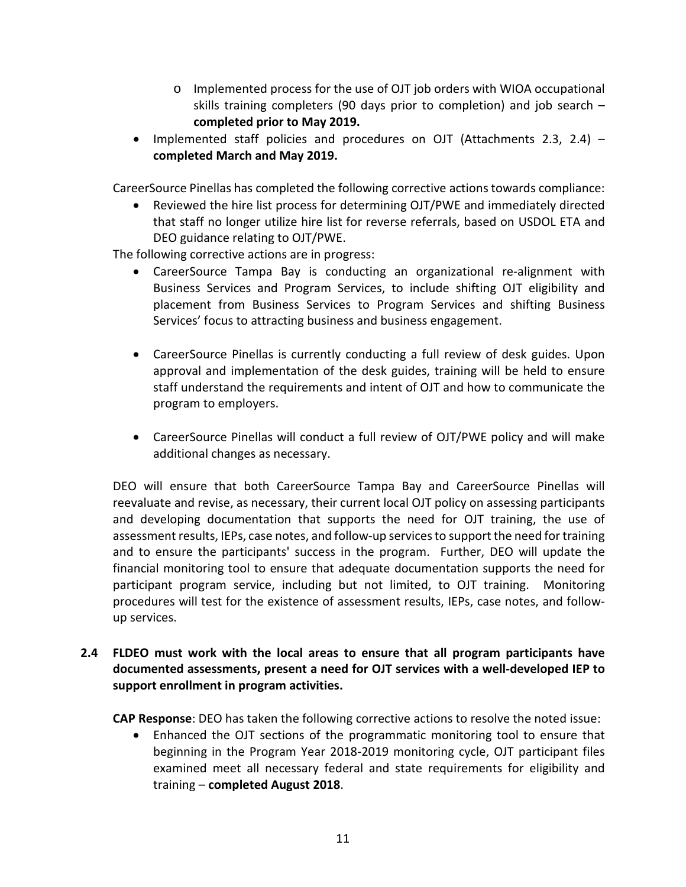- o Implemented process for the use of OJT job orders with WIOA occupational skills training completers (90 days prior to completion) and job search – **completed prior to May 2019.**
- Implemented staff policies and procedures on OJT (Attachments 2.3, 2.4) **completed March and May 2019.**

CareerSource Pinellas has completed the following corrective actions towards compliance:

• Reviewed the hire list process for determining OJT/PWE and immediately directed that staff no longer utilize hire list for reverse referrals, based on USDOL ETA and DEO guidance relating to OJT/PWE.

The following corrective actions are in progress:

- CareerSource Tampa Bay is conducting an organizational re-alignment with Business Services and Program Services, to include shifting OJT eligibility and placement from Business Services to Program Services and shifting Business Services' focus to attracting business and business engagement.
- CareerSource Pinellas is currently conducting a full review of desk guides. Upon approval and implementation of the desk guides, training will be held to ensure staff understand the requirements and intent of OJT and how to communicate the program to employers.
- CareerSource Pinellas will conduct a full review of OJT/PWE policy and will make additional changes as necessary.

DEO will ensure that both CareerSource Tampa Bay and CareerSource Pinellas will reevaluate and revise, as necessary, their current local OJT policy on assessing participants and developing documentation that supports the need for OJT training, the use of assessment results, IEPs, case notes, and follow-up services to support the need for training and to ensure the participants' success in the program. Further, DEO will update the financial monitoring tool to ensure that adequate documentation supports the need for participant program service, including but not limited, to OJT training. Monitoring procedures will test for the existence of assessment results, IEPs, case notes, and followup services.

**2.4 FLDEO must work with the local areas to ensure that all program participants have documented assessments, present a need for OJT services with a well-developed IEP to support enrollment in program activities.**

**CAP Response**: DEO has taken the following corrective actions to resolve the noted issue:

• Enhanced the OJT sections of the programmatic monitoring tool to ensure that beginning in the Program Year 2018-2019 monitoring cycle, OJT participant files examined meet all necessary federal and state requirements for eligibility and training – **completed August 2018**.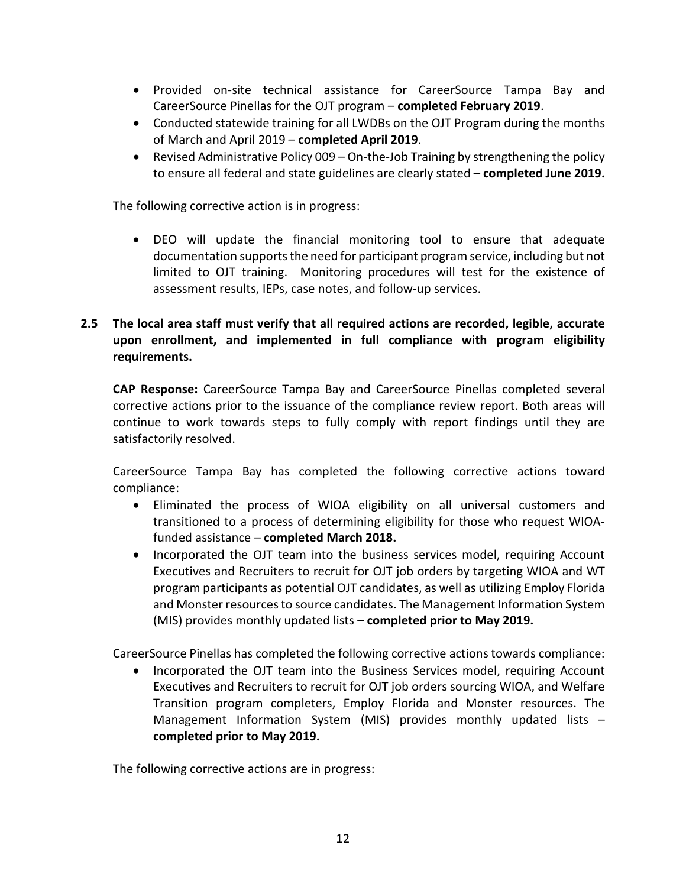- Provided on-site technical assistance for CareerSource Tampa Bay and CareerSource Pinellas for the OJT program – **completed February 2019**.
- Conducted statewide training for all LWDBs on the OJT Program during the months of March and April 2019 – **completed April 2019**.
- Revised Administrative Policy 009 On-the-Job Training by strengthening the policy to ensure all federal and state guidelines are clearly stated – **completed June 2019.**

The following corrective action is in progress:

• DEO will update the financial monitoring tool to ensure that adequate documentation supports the need for participant program service, including but not limited to OJT training. Monitoring procedures will test for the existence of assessment results, IEPs, case notes, and follow-up services.

## **2.5 The local area staff must verify that all required actions are recorded, legible, accurate upon enrollment, and implemented in full compliance with program eligibility requirements.**

**CAP Response:** CareerSource Tampa Bay and CareerSource Pinellas completed several corrective actions prior to the issuance of the compliance review report. Both areas will continue to work towards steps to fully comply with report findings until they are satisfactorily resolved.

CareerSource Tampa Bay has completed the following corrective actions toward compliance:

- Eliminated the process of WIOA eligibility on all universal customers and transitioned to a process of determining eligibility for those who request WIOAfunded assistance – **completed March 2018.**
- Incorporated the OJT team into the business services model, requiring Account Executives and Recruiters to recruit for OJT job orders by targeting WIOA and WT program participants as potential OJT candidates, as well as utilizing Employ Florida and Monster resources to source candidates. The Management Information System (MIS) provides monthly updated lists – **completed prior to May 2019.**

CareerSource Pinellas has completed the following corrective actions towards compliance:

• Incorporated the OJT team into the Business Services model, requiring Account Executives and Recruiters to recruit for OJT job orders sourcing WIOA, and Welfare Transition program completers, Employ Florida and Monster resources. The Management Information System (MIS) provides monthly updated lists – **completed prior to May 2019.**

The following corrective actions are in progress: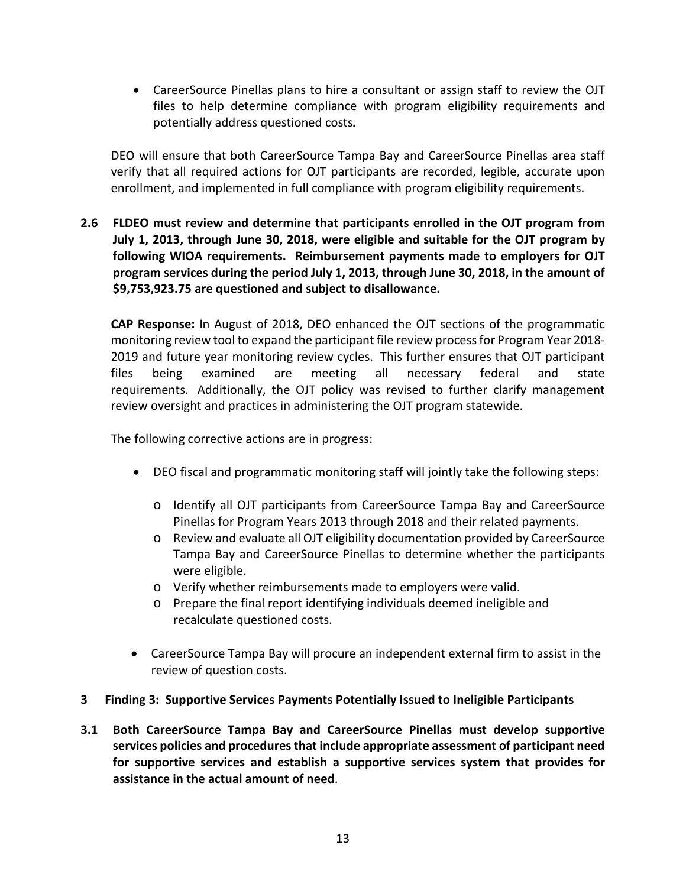• CareerSource Pinellas plans to hire a consultant or assign staff to review the OJT files to help determine compliance with program eligibility requirements and potentially address questioned costs*.*

DEO will ensure that both CareerSource Tampa Bay and CareerSource Pinellas area staff verify that all required actions for OJT participants are recorded, legible, accurate upon enrollment, and implemented in full compliance with program eligibility requirements.

**2.6 FLDEO must review and determine that participants enrolled in the OJT program from July 1, 2013, through June 30, 2018, were eligible and suitable for the OJT program by following WIOA requirements. Reimbursement payments made to employers for OJT program services during the period July 1, 2013, through June 30, 2018, in the amount of \$9,753,923.75 are questioned and subject to disallowance.**

**CAP Response:** In August of 2018, DEO enhanced the OJT sections of the programmatic monitoring review tool to expand the participant file review process for Program Year 2018- 2019 and future year monitoring review cycles. This further ensures that OJT participant files being examined are meeting all necessary federal and state requirements. Additionally, the OJT policy was revised to further clarify management review oversight and practices in administering the OJT program statewide.

The following corrective actions are in progress:

- DEO fiscal and programmatic monitoring staff will jointly take the following steps:
	- o Identify all OJT participants from CareerSource Tampa Bay and CareerSource Pinellas for Program Years 2013 through 2018 and their related payments.
	- o Review and evaluate all OJT eligibility documentation provided by CareerSource Tampa Bay and CareerSource Pinellas to determine whether the participants were eligible.
	- o Verify whether reimbursements made to employers were valid.
	- o Prepare the final report identifying individuals deemed ineligible and recalculate questioned costs.
- CareerSource Tampa Bay will procure an independent external firm to assist in the review of question costs.

### **3 Finding 3: Supportive Services Payments Potentially Issued to Ineligible Participants**

**3.1 Both CareerSource Tampa Bay and CareerSource Pinellas must develop supportive services policies and procedures that include appropriate assessment of participant need for supportive services and establish a supportive services system that provides for assistance in the actual amount of need**.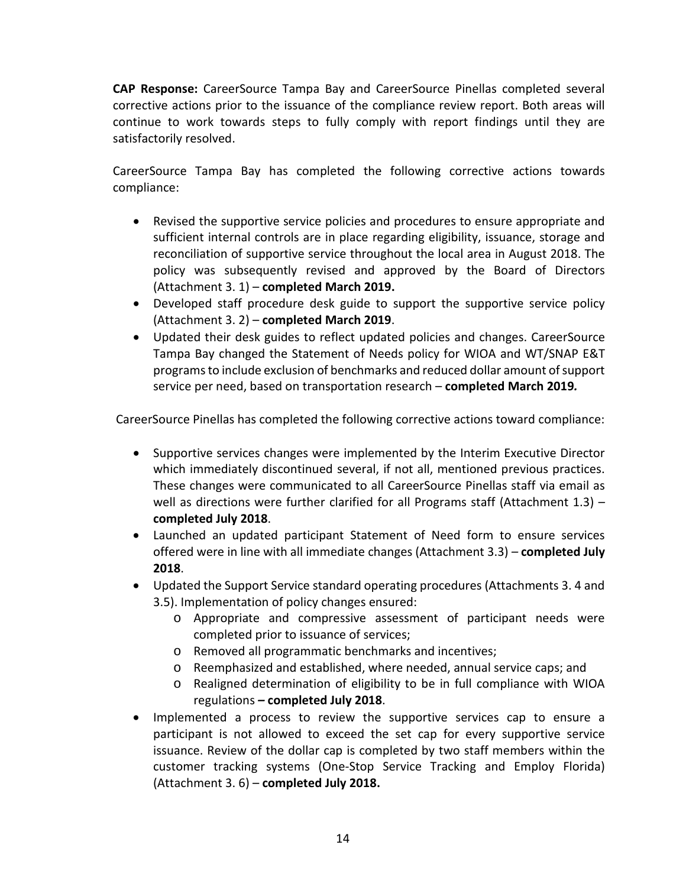**CAP Response:** CareerSource Tampa Bay and CareerSource Pinellas completed several corrective actions prior to the issuance of the compliance review report. Both areas will continue to work towards steps to fully comply with report findings until they are satisfactorily resolved.

CareerSource Tampa Bay has completed the following corrective actions towards compliance:

- Revised the supportive service policies and procedures to ensure appropriate and sufficient internal controls are in place regarding eligibility, issuance, storage and reconciliation of supportive service throughout the local area in August 2018. The policy was subsequently revised and approved by the Board of Directors (Attachment 3. 1) – **completed March 2019.**
- Developed staff procedure desk guide to support the supportive service policy (Attachment 3. 2) – **completed March 2019**.
- Updated their desk guides to reflect updated policies and changes. CareerSource Tampa Bay changed the Statement of Needs policy for WIOA and WT/SNAP E&T programsto include exclusion of benchmarks and reduced dollar amount of support service per need, based on transportation research – **completed March 2019***.*

CareerSource Pinellas has completed the following corrective actions toward compliance:

- Supportive services changes were implemented by the Interim Executive Director which immediately discontinued several, if not all, mentioned previous practices. These changes were communicated to all CareerSource Pinellas staff via email as well as directions were further clarified for all Programs staff (Attachment 1.3) *–* **completed July 2018**.
- Launched an updated participant Statement of Need form to ensure services offered were in line with all immediate changes (Attachment 3.3) *–* **completed July 2018**.
- Updated the Support Service standard operating procedures (Attachments 3. 4 and 3.5). Implementation of policy changes ensured:
	- o Appropriate and compressive assessment of participant needs were completed prior to issuance of services;
	- o Removed all programmatic benchmarks and incentives;
	- o Reemphasized and established, where needed, annual service caps; and
	- o Realigned determination of eligibility to be in full compliance with WIOA regulations *–* **completed July 2018**.
- Implemented a process to review the supportive services cap to ensure a participant is not allowed to exceed the set cap for every supportive service issuance. Review of the dollar cap is completed by two staff members within the customer tracking systems (One-Stop Service Tracking and Employ Florida) (Attachment 3. 6) – **completed July 2018.**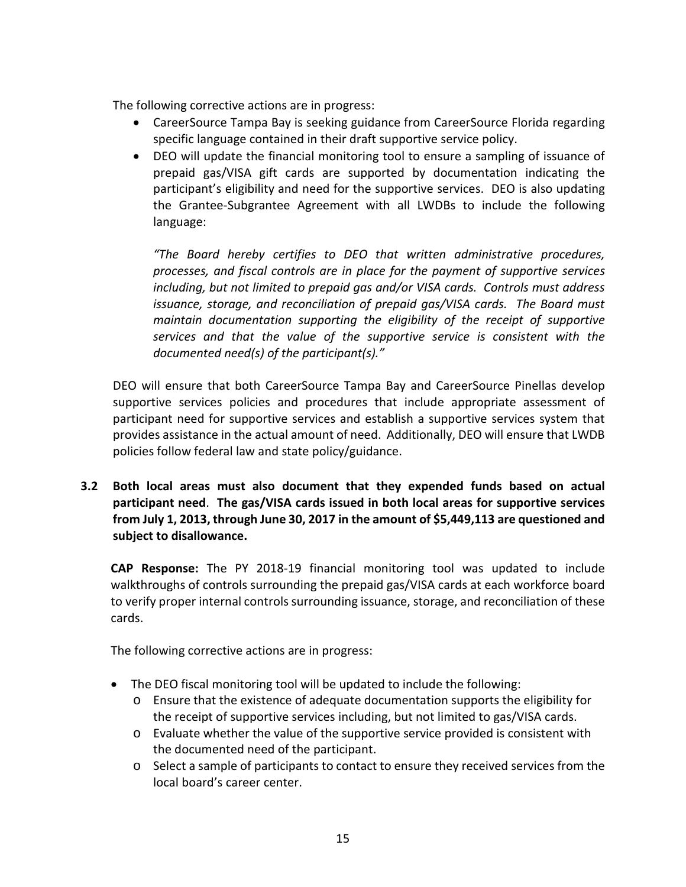The following corrective actions are in progress:

- CareerSource Tampa Bay is seeking guidance from CareerSource Florida regarding specific language contained in their draft supportive service policy.
- DEO will update the financial monitoring tool to ensure a sampling of issuance of prepaid gas/VISA gift cards are supported by documentation indicating the participant's eligibility and need for the supportive services. DEO is also updating the Grantee-Subgrantee Agreement with all LWDBs to include the following language:

*"The Board hereby certifies to DEO that written administrative procedures, processes, and fiscal controls are in place for the payment of supportive services including, but not limited to prepaid gas and/or VISA cards. Controls must address issuance, storage, and reconciliation of prepaid gas/VISA cards. The Board must maintain documentation supporting the eligibility of the receipt of supportive services and that the value of the supportive service is consistent with the documented need(s) of the participant(s)."*

DEO will ensure that both CareerSource Tampa Bay and CareerSource Pinellas develop supportive services policies and procedures that include appropriate assessment of participant need for supportive services and establish a supportive services system that provides assistance in the actual amount of need. Additionally, DEO will ensure that LWDB policies follow federal law and state policy/guidance.

**3.2 Both local areas must also document that they expended funds based on actual participant need**. **The gas/VISA cards issued in both local areas for supportive services from July 1, 2013, through June 30, 2017 in the amount of \$5,449,113 are questioned and subject to disallowance.**

**CAP Response:** The PY 2018-19 financial monitoring tool was updated to include walkthroughs of controls surrounding the prepaid gas/VISA cards at each workforce board to verify proper internal controls surrounding issuance, storage, and reconciliation of these cards.

The following corrective actions are in progress:

- The DEO fiscal monitoring tool will be updated to include the following:
	- o Ensure that the existence of adequate documentation supports the eligibility for the receipt of supportive services including, but not limited to gas/VISA cards.
	- o Evaluate whether the value of the supportive service provided is consistent with the documented need of the participant.
	- o Select a sample of participants to contact to ensure they received services from the local board's career center.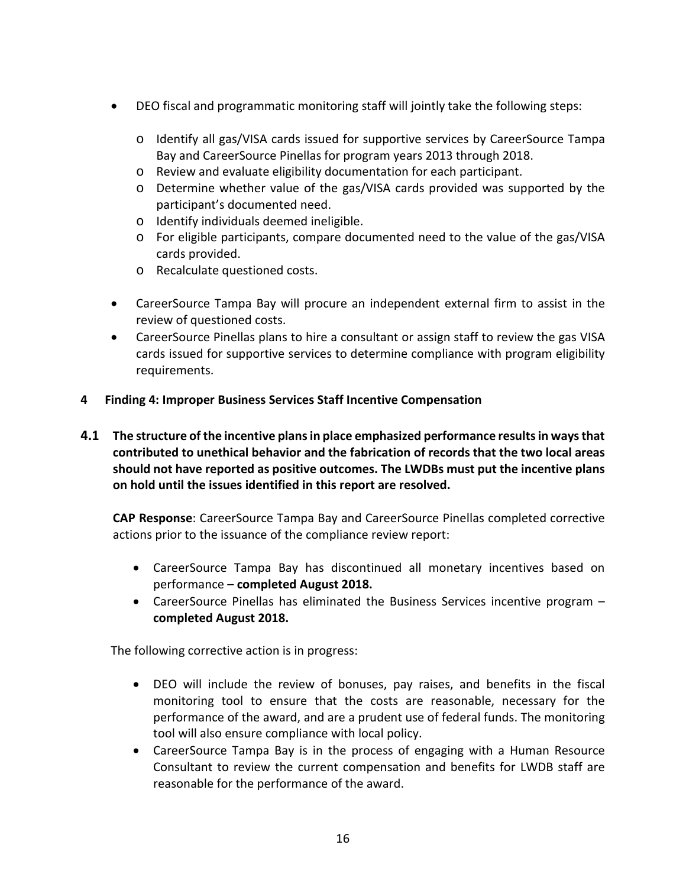- DEO fiscal and programmatic monitoring staff will jointly take the following steps:
	- o Identify all gas/VISA cards issued for supportive services by CareerSource Tampa Bay and CareerSource Pinellas for program years 2013 through 2018.
	- o Review and evaluate eligibility documentation for each participant.
	- o Determine whether value of the gas/VISA cards provided was supported by the participant's documented need.
	- o Identify individuals deemed ineligible.
	- o For eligible participants, compare documented need to the value of the gas/VISA cards provided.
	- o Recalculate questioned costs.
- CareerSource Tampa Bay will procure an independent external firm to assist in the review of questioned costs.
- CareerSource Pinellas plans to hire a consultant or assign staff to review the gas VISA cards issued for supportive services to determine compliance with program eligibility requirements.
- **4 Finding 4: Improper Business Services Staff Incentive Compensation**
- **4.1 The structure of the incentive plans in place emphasized performance results in ways that contributed to unethical behavior and the fabrication of records that the two local areas should not have reported as positive outcomes. The LWDBs must put the incentive plans on hold until the issues identified in this report are resolved.**

**CAP Response**: CareerSource Tampa Bay and CareerSource Pinellas completed corrective actions prior to the issuance of the compliance review report:

- CareerSource Tampa Bay has discontinued all monetary incentives based on performance – **completed August 2018.**
- CareerSource Pinellas has eliminated the Business Services incentive program **completed August 2018.**

The following corrective action is in progress:

- DEO will include the review of bonuses, pay raises, and benefits in the fiscal monitoring tool to ensure that the costs are reasonable, necessary for the performance of the award, and are a prudent use of federal funds. The monitoring tool will also ensure compliance with local policy.
- CareerSource Tampa Bay is in the process of engaging with a Human Resource Consultant to review the current compensation and benefits for LWDB staff are reasonable for the performance of the award.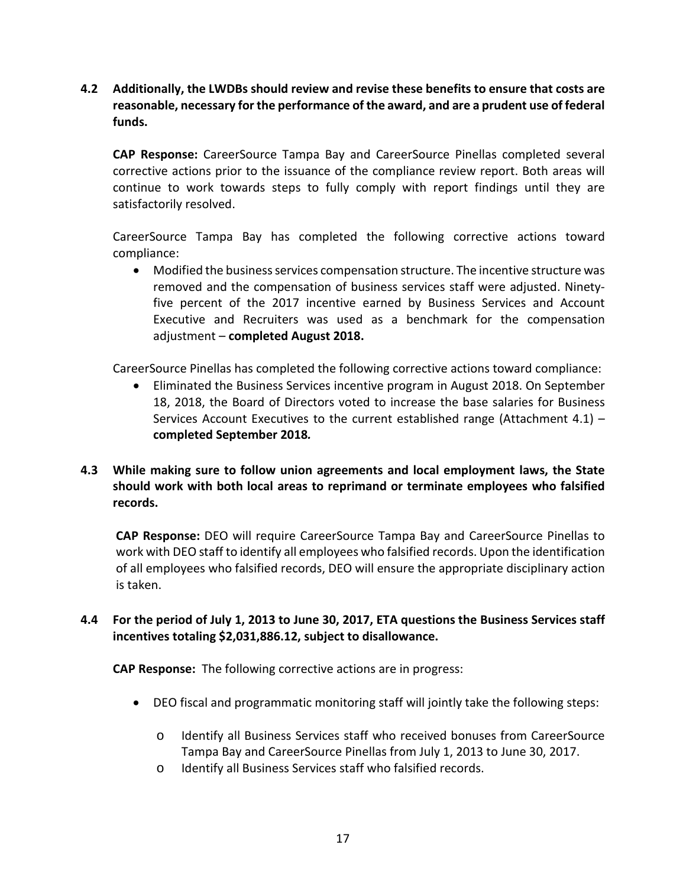**4.2 Additionally, the LWDBs should review and revise these benefits to ensure that costs are reasonable, necessary for the performance of the award, and are a prudent use of federal funds.**

**CAP Response:** CareerSource Tampa Bay and CareerSource Pinellas completed several corrective actions prior to the issuance of the compliance review report. Both areas will continue to work towards steps to fully comply with report findings until they are satisfactorily resolved.

CareerSource Tampa Bay has completed the following corrective actions toward compliance:

• Modified the business services compensation structure. The incentive structure was removed and the compensation of business services staff were adjusted. Ninetyfive percent of the 2017 incentive earned by Business Services and Account Executive and Recruiters was used as a benchmark for the compensation adjustment – **completed August 2018.**

CareerSource Pinellas has completed the following corrective actions toward compliance:

• Eliminated the Business Services incentive program in August 2018. On September 18, 2018, the Board of Directors voted to increase the base salaries for Business Services Account Executives to the current established range (Attachment  $4.1$ ) – **completed September 2018***.*

## **4.3 While making sure to follow union agreements and local employment laws, the State should work with both local areas to reprimand or terminate employees who falsified records.**

**CAP Response:** DEO will require CareerSource Tampa Bay and CareerSource Pinellas to work with DEO staff to identify all employees who falsified records. Upon the identification of all employees who falsified records, DEO will ensure the appropriate disciplinary action is taken.

## **4.4 For the period of July 1, 2013 to June 30, 2017, ETA questions the Business Services staff incentives totaling \$2,031,886.12, subject to disallowance.**

**CAP Response:** The following corrective actions are in progress:

- DEO fiscal and programmatic monitoring staff will jointly take the following steps:
	- o Identify all Business Services staff who received bonuses from CareerSource Tampa Bay and CareerSource Pinellas from July 1, 2013 to June 30, 2017.
	- o Identify all Business Services staff who falsified records.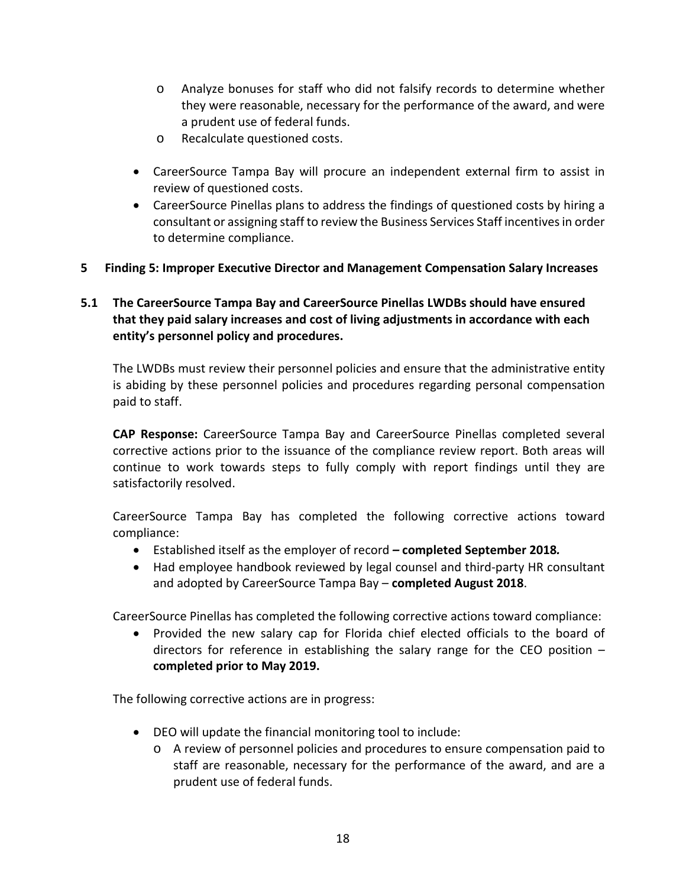- o Analyze bonuses for staff who did not falsify records to determine whether they were reasonable, necessary for the performance of the award, and were a prudent use of federal funds.
- o Recalculate questioned costs.
- CareerSource Tampa Bay will procure an independent external firm to assist in review of questioned costs.
- CareerSource Pinellas plans to address the findings of questioned costs by hiring a consultant or assigning staff to review the Business Services Staff incentives in order to determine compliance.
- **5 Finding 5: Improper Executive Director and Management Compensation Salary Increases**

## **5.1 The CareerSource Tampa Bay and CareerSource Pinellas LWDBs should have ensured that they paid salary increases and cost of living adjustments in accordance with each entity's personnel policy and procedures.**

The LWDBs must review their personnel policies and ensure that the administrative entity is abiding by these personnel policies and procedures regarding personal compensation paid to staff.

**CAP Response:** CareerSource Tampa Bay and CareerSource Pinellas completed several corrective actions prior to the issuance of the compliance review report. Both areas will continue to work towards steps to fully comply with report findings until they are satisfactorily resolved.

CareerSource Tampa Bay has completed the following corrective actions toward compliance:

- Established itself as the employer of record *–* **completed September 2018***.*
- Had employee handbook reviewed by legal counsel and third-party HR consultant and adopted by CareerSource Tampa Bay – **completed August 2018**.

CareerSource Pinellas has completed the following corrective actions toward compliance:

• Provided the new salary cap for Florida chief elected officials to the board of directors for reference in establishing the salary range for the CEO position – **completed prior to May 2019.**

The following corrective actions are in progress:

- DEO will update the financial monitoring tool to include:
	- o A review of personnel policies and procedures to ensure compensation paid to staff are reasonable, necessary for the performance of the award, and are a prudent use of federal funds.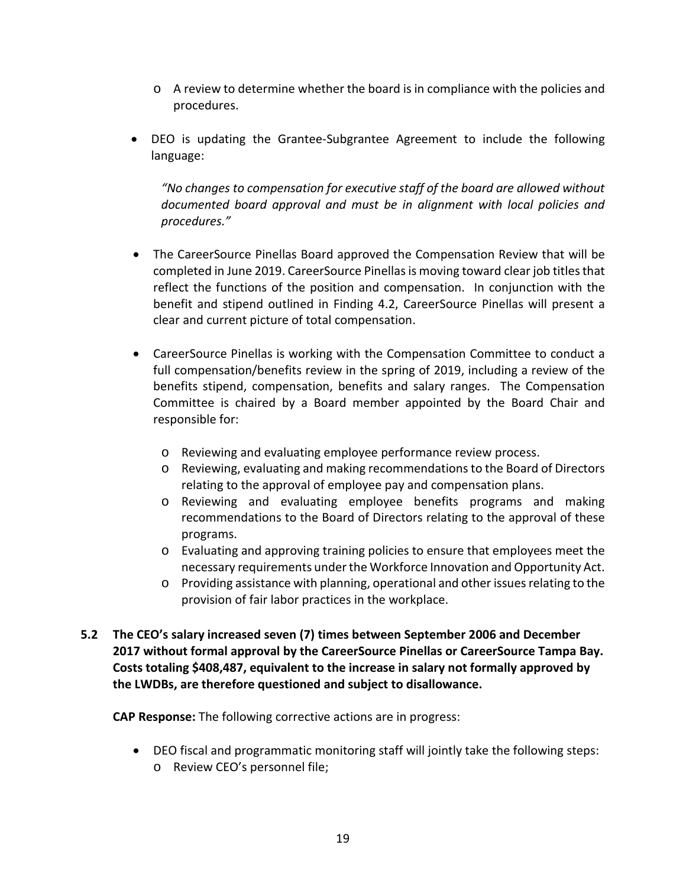- $\circ$  A review to determine whether the board is in compliance with the policies and procedures.
- DEO is updating the Grantee-Subgrantee Agreement to include the following language:

*"No changes to compensation for executive staff of the board are allowed without documented board approval and must be in alignment with local policies and procedures."*

- The CareerSource Pinellas Board approved the Compensation Review that will be completed in June 2019. CareerSource Pinellasis moving toward clear job titles that reflect the functions of the position and compensation. In conjunction with the benefit and stipend outlined in Finding 4.2, CareerSource Pinellas will present a clear and current picture of total compensation.
- CareerSource Pinellas is working with the Compensation Committee to conduct a full compensation/benefits review in the spring of 2019, including a review of the benefits stipend, compensation, benefits and salary ranges. The Compensation Committee is chaired by a Board member appointed by the Board Chair and responsible for:
	- o Reviewing and evaluating employee performance review process.
	- o Reviewing, evaluating and making recommendations to the Board of Directors relating to the approval of employee pay and compensation plans.
	- o Reviewing and evaluating employee benefits programs and making recommendations to the Board of Directors relating to the approval of these programs.
	- o Evaluating and approving training policies to ensure that employees meet the necessary requirements under the Workforce Innovation and Opportunity Act.
	- o Providing assistance with planning, operational and other issues relating to the provision of fair labor practices in the workplace.
- **5.2 The CEO's salary increased seven (7) times between September 2006 and December 2017 without formal approval by the CareerSource Pinellas or CareerSource Tampa Bay. Costs totaling \$408,487, equivalent to the increase in salary not formally approved by the LWDBs, are therefore questioned and subject to disallowance.**

**CAP Response:** The following corrective actions are in progress:

• DEO fiscal and programmatic monitoring staff will jointly take the following steps: o Review CEO's personnel file;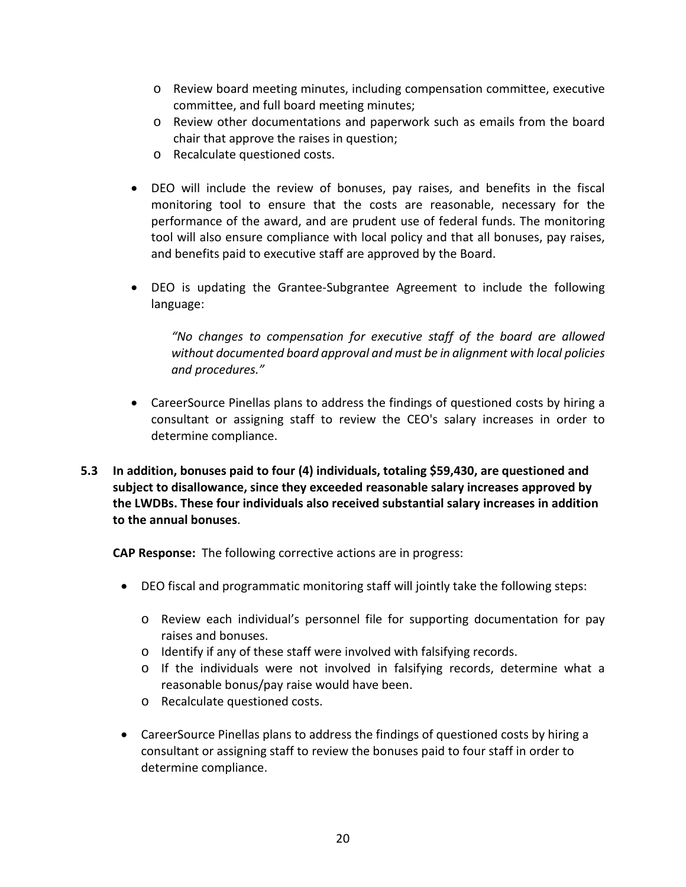- o Review board meeting minutes, including compensation committee, executive committee, and full board meeting minutes;
- o Review other documentations and paperwork such as emails from the board chair that approve the raises in question;
- o Recalculate questioned costs.
- DEO will include the review of bonuses, pay raises, and benefits in the fiscal monitoring tool to ensure that the costs are reasonable, necessary for the performance of the award, and are prudent use of federal funds. The monitoring tool will also ensure compliance with local policy and that all bonuses, pay raises, and benefits paid to executive staff are approved by the Board.
- DEO is updating the Grantee-Subgrantee Agreement to include the following language:

*"No changes to compensation for executive staff of the board are allowed without documented board approval and must be in alignment with local policies and procedures."*

- CareerSource Pinellas plans to address the findings of questioned costs by hiring a consultant or assigning staff to review the CEO's salary increases in order to determine compliance.
- **5.3 In addition, bonuses paid to four (4) individuals, totaling \$59,430, are questioned and subject to disallowance, since they exceeded reasonable salary increases approved by the LWDBs. These four individuals also received substantial salary increases in addition to the annual bonuses**.

**CAP Response:** The following corrective actions are in progress:

- DEO fiscal and programmatic monitoring staff will jointly take the following steps:
	- o Review each individual's personnel file for supporting documentation for pay raises and bonuses.
	- o Identify if any of these staff were involved with falsifying records.
	- o If the individuals were not involved in falsifying records, determine what a reasonable bonus/pay raise would have been.
	- o Recalculate questioned costs.
- CareerSource Pinellas plans to address the findings of questioned costs by hiring a consultant or assigning staff to review the bonuses paid to four staff in order to determine compliance.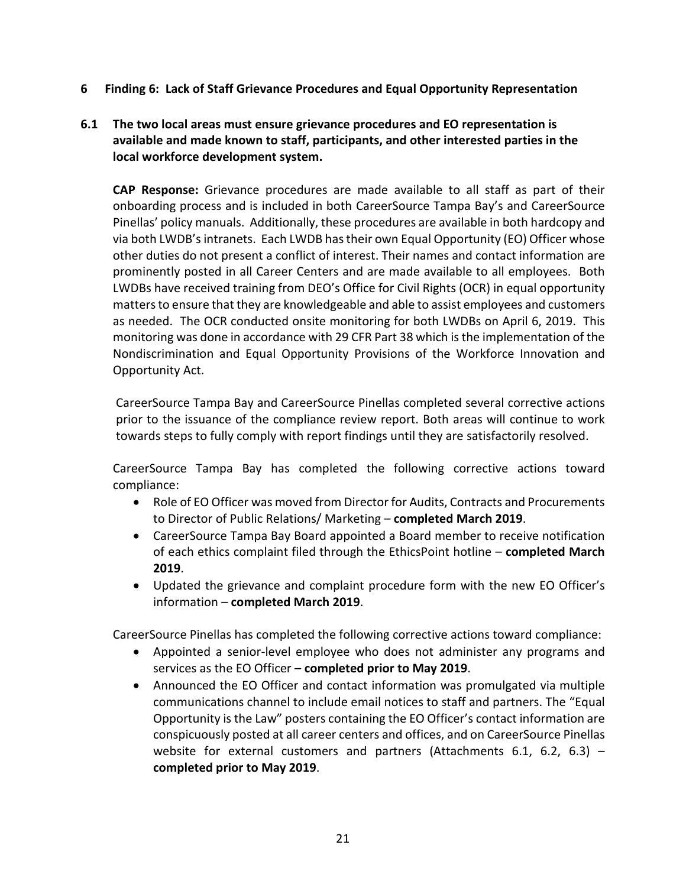- **6 Finding 6: Lack of Staff Grievance Procedures and Equal Opportunity Representation**
- **6.1 The two local areas must ensure grievance procedures and EO representation is available and made known to staff, participants, and other interested parties in the local workforce development system.**

**CAP Response:** Grievance procedures are made available to all staff as part of their onboarding process and is included in both CareerSource Tampa Bay's and CareerSource Pinellas' policy manuals. Additionally, these procedures are available in both hardcopy and via both LWDB's intranets. Each LWDB has their own Equal Opportunity (EO) Officer whose other duties do not present a conflict of interest. Their names and contact information are prominently posted in all Career Centers and are made available to all employees. Both LWDBs have received training from DEO's Office for Civil Rights (OCR) in equal opportunity matters to ensure that they are knowledgeable and able to assist employees and customers as needed. The OCR conducted onsite monitoring for both LWDBs on April 6, 2019. This monitoring was done in accordance with 29 CFR Part 38 which is the implementation of the Nondiscrimination and Equal Opportunity Provisions of the Workforce Innovation and Opportunity Act.

CareerSource Tampa Bay and CareerSource Pinellas completed several corrective actions prior to the issuance of the compliance review report. Both areas will continue to work towards steps to fully comply with report findings until they are satisfactorily resolved.

CareerSource Tampa Bay has completed the following corrective actions toward compliance:

- Role of EO Officer was moved from Director for Audits, Contracts and Procurements to Director of Public Relations/ Marketing – **completed March 2019**.
- CareerSource Tampa Bay Board appointed a Board member to receive notification of each ethics complaint filed through the EthicsPoint hotline – **completed March 2019**.
- Updated the grievance and complaint procedure form with the new EO Officer's information – **completed March 2019**.

CareerSource Pinellas has completed the following corrective actions toward compliance:

- Appointed a senior-level employee who does not administer any programs and services as the EO Officer – **completed prior to May 2019**.
- Announced the EO Officer and contact information was promulgated via multiple communications channel to include email notices to staff and partners. The "Equal Opportunity is the Law" posters containing the EO Officer's contact information are conspicuously posted at all career centers and offices, and on CareerSource Pinellas website for external customers and partners (Attachments 6.1, 6.2, 6.3) – **completed prior to May 2019**.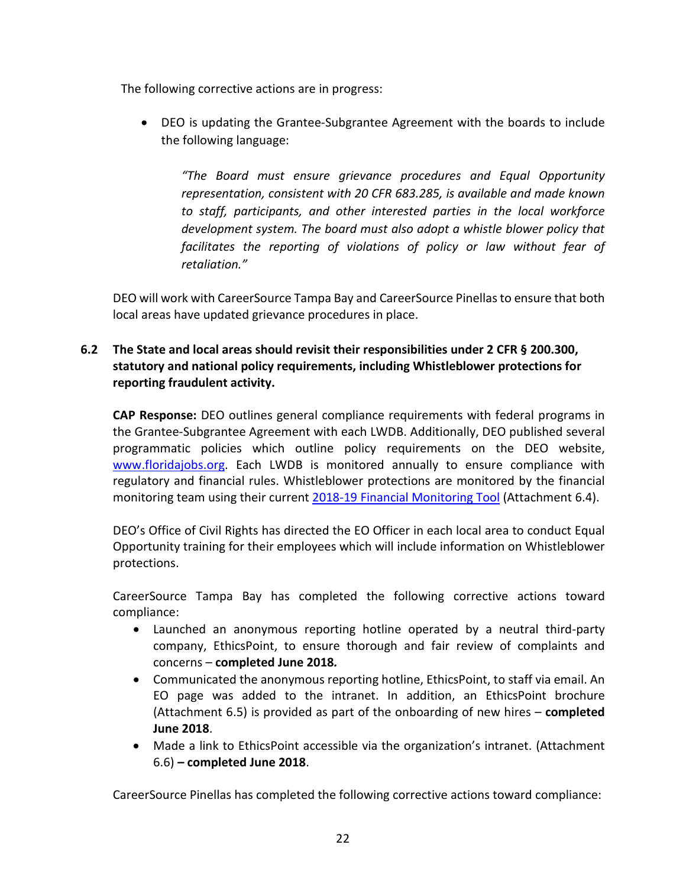The following corrective actions are in progress:

• DEO is updating the Grantee-Subgrantee Agreement with the boards to include the following language:

*"The Board must ensure grievance procedures and Equal Opportunity representation, consistent with 20 CFR 683.285, is available and made known to staff, participants, and other interested parties in the local workforce development system. The board must also adopt a whistle blower policy that facilitates the reporting of violations of policy or law without fear of retaliation."*

DEO will work with CareerSource Tampa Bay and CareerSource Pinellas to ensure that both local areas have updated grievance procedures in place.

## **6.2 The State and local areas should revisit their responsibilities under 2 CFR § 200.300, statutory and national policy requirements, including Whistleblower protections for reporting fraudulent activity.**

**CAP Response:** DEO outlines general compliance requirements with federal programs in the Grantee-Subgrantee Agreement with each LWDB. Additionally, DEO published several programmatic policies which outline policy requirements on the DEO website, [www.floridajobs.org.](http://www.floridajobs.org/) Each LWDB is monitored annually to ensure compliance with regulatory and financial rules. Whistleblower protections are monitored by the financial monitoring team using their current [2018-19 Financial Monitoring Tool](http://www.floridajobs.org/docs/default-source/division-of-finance-and-administration/financial-monitoring-and-accountability/tools-and-templates/2018-19-financial-monitoring-tool.pdf?sfvrsn=2) (Attachment 6.4).

DEO's Office of Civil Rights has directed the EO Officer in each local area to conduct Equal Opportunity training for their employees which will include information on Whistleblower protections.

CareerSource Tampa Bay has completed the following corrective actions toward compliance:

- Launched an anonymous reporting hotline operated by a neutral third-party company, EthicsPoint, to ensure thorough and fair review of complaints and concerns – **completed June 2018***.*
- Communicated the anonymous reporting hotline, EthicsPoint, to staff via email. An EO page was added to the intranet. In addition, an EthicsPoint brochure (Attachment 6.5) is provided as part of the onboarding of new hires – **completed June 2018**.
- Made a link to EthicsPoint accessible via the organization's intranet. (Attachment 6.6) *–* **completed June 2018**.

CareerSource Pinellas has completed the following corrective actions toward compliance: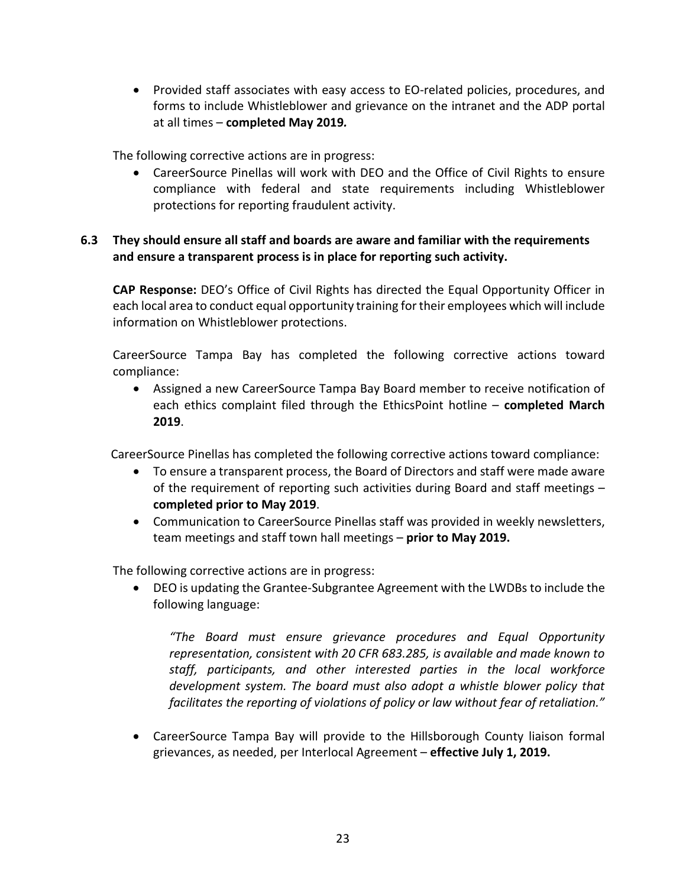• Provided staff associates with easy access to EO-related policies, procedures, and forms to include Whistleblower and grievance on the intranet and the ADP portal at all times – **completed May 2019***.*

The following corrective actions are in progress:

• CareerSource Pinellas will work with DEO and the Office of Civil Rights to ensure compliance with federal and state requirements including Whistleblower protections for reporting fraudulent activity.

### **6.3 They should ensure all staff and boards are aware and familiar with the requirements and ensure a transparent process is in place for reporting such activity.**

**CAP Response:** DEO's Office of Civil Rights has directed the Equal Opportunity Officer in each local area to conduct equal opportunity training for their employees which will include information on Whistleblower protections.

CareerSource Tampa Bay has completed the following corrective actions toward compliance:

• Assigned a new CareerSource Tampa Bay Board member to receive notification of each ethics complaint filed through the EthicsPoint hotline – **completed March 2019**.

CareerSource Pinellas has completed the following corrective actions toward compliance:

- To ensure a transparent process, the Board of Directors and staff were made aware of the requirement of reporting such activities during Board and staff meetings – **completed prior to May 2019**.
- Communication to CareerSource Pinellas staff was provided in weekly newsletters, team meetings and staff town hall meetings – **prior to May 2019.**

The following corrective actions are in progress:

• DEO is updating the Grantee-Subgrantee Agreement with the LWDBs to include the following language:

*"The Board must ensure grievance procedures and Equal Opportunity representation, consistent with 20 CFR 683.285, is available and made known to staff, participants, and other interested parties in the local workforce development system. The board must also adopt a whistle blower policy that facilitates the reporting of violations of policy or law without fear of retaliation."*

• CareerSource Tampa Bay will provide to the Hillsborough County liaison formal grievances, as needed, per Interlocal Agreement – **effective July 1, 2019.**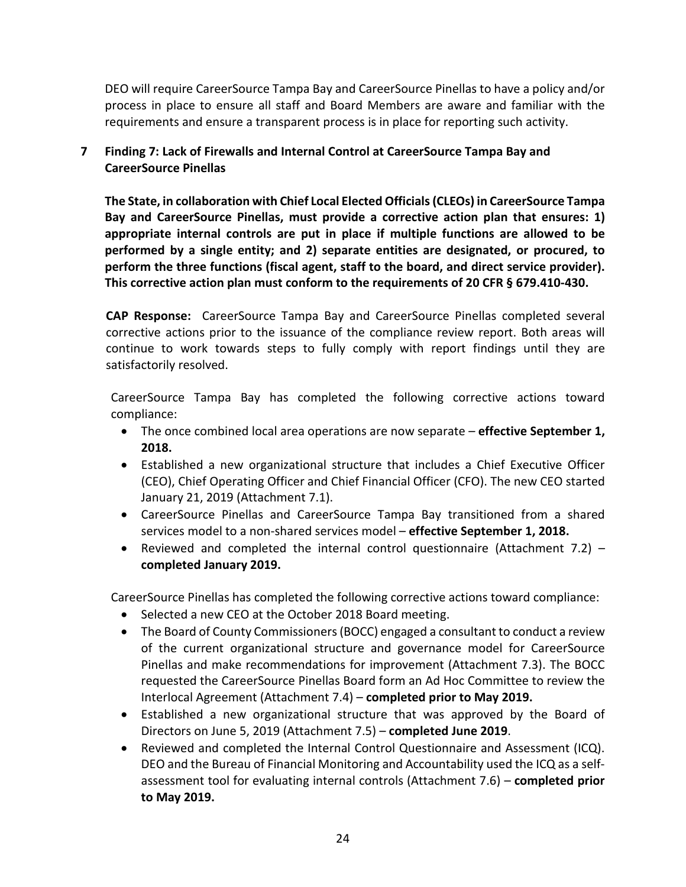DEO will require CareerSource Tampa Bay and CareerSource Pinellas to have a policy and/or process in place to ensure all staff and Board Members are aware and familiar with the requirements and ensure a transparent process is in place for reporting such activity.

## **7 Finding 7: Lack of Firewalls and Internal Control at CareerSource Tampa Bay and CareerSource Pinellas**

**The State, in collaboration with Chief Local Elected Officials (CLEOs) in CareerSource Tampa Bay and CareerSource Pinellas, must provide a corrective action plan that ensures: 1) appropriate internal controls are put in place if multiple functions are allowed to be performed by a single entity; and 2) separate entities are designated, or procured, to perform the three functions (fiscal agent, staff to the board, and direct service provider). This corrective action plan must conform to the requirements of 20 CFR § 679.410-430.**

**CAP Response:** CareerSource Tampa Bay and CareerSource Pinellas completed several corrective actions prior to the issuance of the compliance review report. Both areas will continue to work towards steps to fully comply with report findings until they are satisfactorily resolved.

CareerSource Tampa Bay has completed the following corrective actions toward compliance:

- The once combined local area operations are now separate *–* **effective September 1, 2018.**
- Established a new organizational structure that includes a Chief Executive Officer (CEO), Chief Operating Officer and Chief Financial Officer (CFO). The new CEO started January 21, 2019 (Attachment 7.1).
- CareerSource Pinellas and CareerSource Tampa Bay transitioned from a shared services model to a non-shared services model – **effective September 1, 2018.**
- Reviewed and completed the internal control questionnaire (Attachment 7.2) **completed January 2019.**

CareerSource Pinellas has completed the following corrective actions toward compliance:

- Selected a new CEO at the October 2018 Board meeting.
- The Board of County Commissioners (BOCC) engaged a consultant to conduct a review of the current organizational structure and governance model for CareerSource Pinellas and make recommendations for improvement (Attachment 7.3). The BOCC requested the CareerSource Pinellas Board form an Ad Hoc Committee to review the Interlocal Agreement (Attachment 7.4) – **completed prior to May 2019.**
- Established a new organizational structure that was approved by the Board of Directors on June 5, 2019 (Attachment 7.5) – **completed June 2019**.
- Reviewed and completed the Internal Control Questionnaire and Assessment (ICQ). DEO and the Bureau of Financial Monitoring and Accountability used the ICQ as a selfassessment tool for evaluating internal controls (Attachment 7.6) – **completed prior to May 2019.**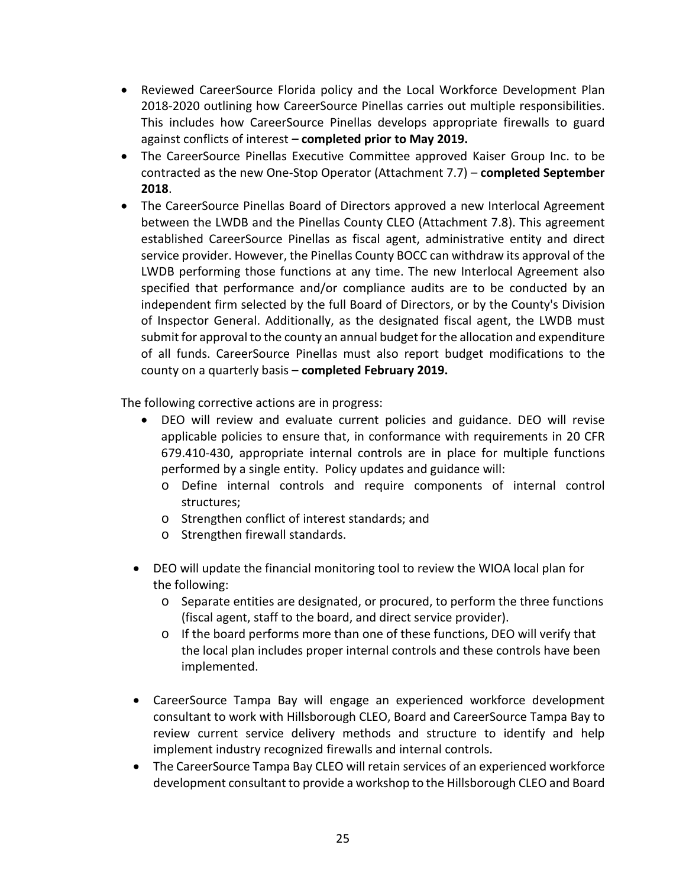- Reviewed CareerSource Florida policy and the Local Workforce Development Plan 2018-2020 outlining how CareerSource Pinellas carries out multiple responsibilities. This includes how CareerSource Pinellas develops appropriate firewalls to guard against conflicts of interest *–* **completed prior to May 2019.**
- The CareerSource Pinellas Executive Committee approved Kaiser Group Inc. to be contracted as the new One-Stop Operator (Attachment 7.7) – **completed September 2018**.
- The CareerSource Pinellas Board of Directors approved a new Interlocal Agreement between the LWDB and the Pinellas County CLEO (Attachment 7.8). This agreement established CareerSource Pinellas as fiscal agent, administrative entity and direct service provider. However, the Pinellas County BOCC can withdraw its approval of the LWDB performing those functions at any time. The new Interlocal Agreement also specified that performance and/or compliance audits are to be conducted by an independent firm selected by the full Board of Directors, or by the County's Division of Inspector General. Additionally, as the designated fiscal agent, the LWDB must submit for approval to the county an annual budget for the allocation and expenditure of all funds. CareerSource Pinellas must also report budget modifications to the county on a quarterly basis – **completed February 2019.**

The following corrective actions are in progress:

- DEO will review and evaluate current policies and guidance. DEO will revise applicable policies to ensure that, in conformance with requirements in 20 CFR 679.410-430, appropriate internal controls are in place for multiple functions performed by a single entity. Policy updates and guidance will:
	- o Define internal controls and require components of internal control structures;
	- o Strengthen conflict of interest standards; and
	- o Strengthen firewall standards.
- DEO will update the financial monitoring tool to review the WIOA local plan for the following:
	- o Separate entities are designated, or procured, to perform the three functions (fiscal agent, staff to the board, and direct service provider).
	- o If the board performs more than one of these functions, DEO will verify that the local plan includes proper internal controls and these controls have been implemented.
- CareerSource Tampa Bay will engage an experienced workforce development consultant to work with Hillsborough CLEO, Board and CareerSource Tampa Bay to review current service delivery methods and structure to identify and help implement industry recognized firewalls and internal controls.
- The CareerSource Tampa Bay CLEO will retain services of an experienced workforce development consultant to provide a workshop to the Hillsborough CLEO and Board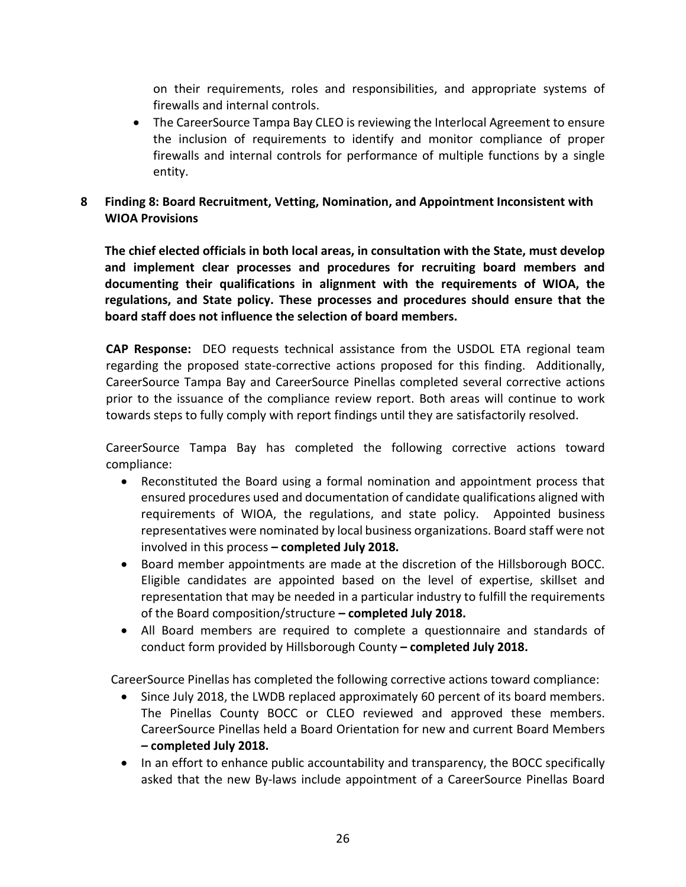on their requirements, roles and responsibilities, and appropriate systems of firewalls and internal controls.

• The CareerSource Tampa Bay CLEO is reviewing the Interlocal Agreement to ensure the inclusion of requirements to identify and monitor compliance of proper firewalls and internal controls for performance of multiple functions by a single entity.

## **8 Finding 8: Board Recruitment, Vetting, Nomination, and Appointment Inconsistent with WIOA Provisions**

**The chief elected officials in both local areas, in consultation with the State, must develop and implement clear processes and procedures for recruiting board members and documenting their qualifications in alignment with the requirements of WIOA, the regulations, and State policy. These processes and procedures should ensure that the board staff does not influence the selection of board members.**

**CAP Response:** DEO requests technical assistance from the USDOL ETA regional team regarding the proposed state-corrective actions proposed for this finding. Additionally, CareerSource Tampa Bay and CareerSource Pinellas completed several corrective actions prior to the issuance of the compliance review report. Both areas will continue to work towards steps to fully comply with report findings until they are satisfactorily resolved.

CareerSource Tampa Bay has completed the following corrective actions toward compliance:

- Reconstituted the Board using a formal nomination and appointment process that ensured procedures used and documentation of candidate qualifications aligned with requirements of WIOA, the regulations, and state policy. Appointed business representatives were nominated by local business organizations. Board staff were not involved in this process **– completed July 2018.**
- Board member appointments are made at the discretion of the Hillsborough BOCC. Eligible candidates are appointed based on the level of expertise, skillset and representation that may be needed in a particular industry to fulfill the requirements of the Board composition/structure **– completed July 2018.**
- All Board members are required to complete a questionnaire and standards of conduct form provided by Hillsborough County **– completed July 2018.**

CareerSource Pinellas has completed the following corrective actions toward compliance:

- Since July 2018, the LWDB replaced approximately 60 percent of its board members. The Pinellas County BOCC or CLEO reviewed and approved these members. CareerSource Pinellas held a Board Orientation for new and current Board Members *–* **completed July 2018.**
- In an effort to enhance public accountability and transparency, the BOCC specifically asked that the new By-laws include appointment of a CareerSource Pinellas Board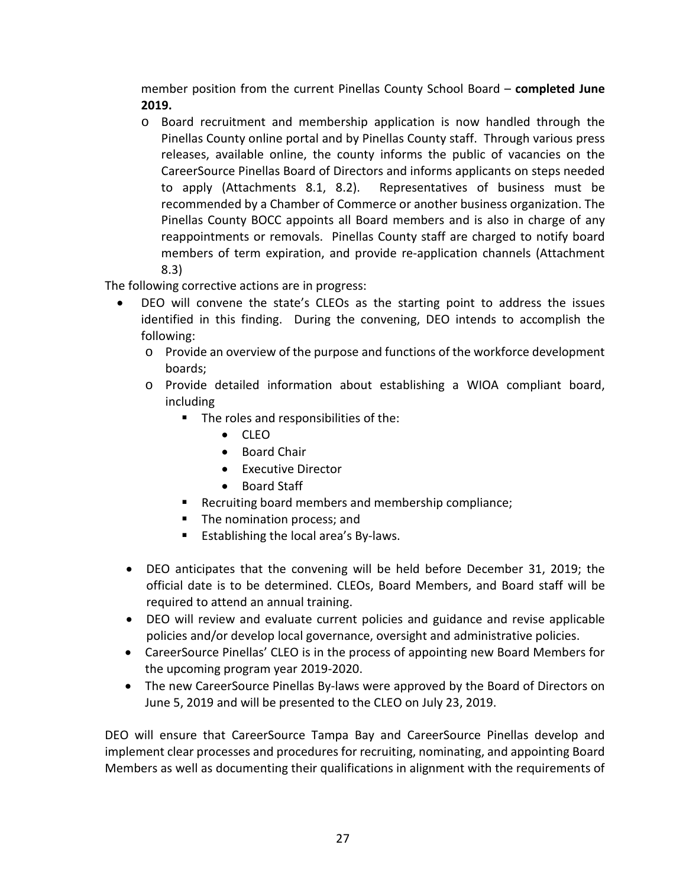member position from the current Pinellas County School Board – **completed June 2019.**

o Board recruitment and membership application is now handled through the Pinellas County online portal and by Pinellas County staff. Through various press releases, available online, the county informs the public of vacancies on the CareerSource Pinellas Board of Directors and informs applicants on steps needed to apply (Attachments 8.1, 8.2). Representatives of business must be recommended by a Chamber of Commerce or another business organization. The Pinellas County BOCC appoints all Board members and is also in charge of any reappointments or removals. Pinellas County staff are charged to notify board members of term expiration, and provide re-application channels (Attachment 8.3)

The following corrective actions are in progress:

- DEO will convene the state's CLEOs as the starting point to address the issues identified in this finding. During the convening, DEO intends to accomplish the following:
	- o Provide an overview of the purpose and functions of the workforce development boards;
	- o Provide detailed information about establishing a WIOA compliant board, including
		- The roles and responsibilities of the:
			- CLEO
			- Board Chair
			- Executive Director
			- Board Staff
		- Recruiting board members and membership compliance;
		- The nomination process; and
		- **Establishing the local area's By-laws.**
- DEO anticipates that the convening will be held before December 31, 2019; the official date is to be determined. CLEOs, Board Members, and Board staff will be required to attend an annual training.
- DEO will review and evaluate current policies and guidance and revise applicable policies and/or develop local governance, oversight and administrative policies.
- CareerSource Pinellas' CLEO is in the process of appointing new Board Members for the upcoming program year 2019-2020.
- The new CareerSource Pinellas By-laws were approved by the Board of Directors on June 5, 2019 and will be presented to the CLEO on July 23, 2019.

DEO will ensure that CareerSource Tampa Bay and CareerSource Pinellas develop and implement clear processes and procedures for recruiting, nominating, and appointing Board Members as well as documenting their qualifications in alignment with the requirements of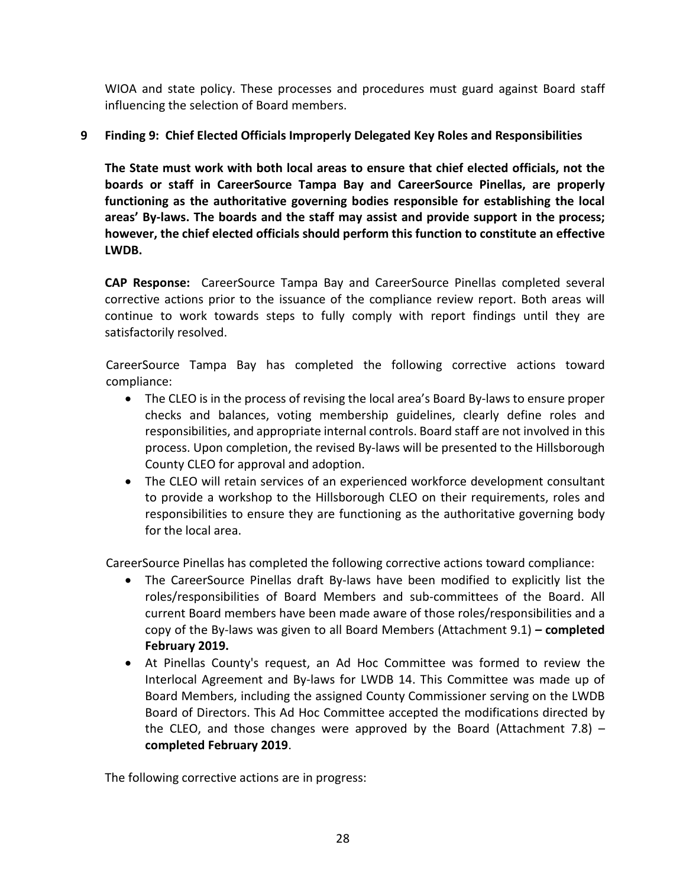WIOA and state policy. These processes and procedures must guard against Board staff influencing the selection of Board members.

## **9 Finding 9: Chief Elected Officials Improperly Delegated Key Roles and Responsibilities**

**The State must work with both local areas to ensure that chief elected officials, not the boards or staff in CareerSource Tampa Bay and CareerSource Pinellas, are properly functioning as the authoritative governing bodies responsible for establishing the local areas' By-laws. The boards and the staff may assist and provide support in the process; however, the chief elected officials should perform this function to constitute an effective LWDB.**

**CAP Response:** CareerSource Tampa Bay and CareerSource Pinellas completed several corrective actions prior to the issuance of the compliance review report. Both areas will continue to work towards steps to fully comply with report findings until they are satisfactorily resolved.

CareerSource Tampa Bay has completed the following corrective actions toward compliance:

- The CLEO is in the process of revising the local area's Board By-laws to ensure proper checks and balances, voting membership guidelines, clearly define roles and responsibilities, and appropriate internal controls. Board staff are not involved in this process. Upon completion, the revised By-laws will be presented to the Hillsborough County CLEO for approval and adoption.
- The CLEO will retain services of an experienced workforce development consultant to provide a workshop to the Hillsborough CLEO on their requirements, roles and responsibilities to ensure they are functioning as the authoritative governing body for the local area.

CareerSource Pinellas has completed the following corrective actions toward compliance:

- The CareerSource Pinellas draft By-laws have been modified to explicitly list the roles/responsibilities of Board Members and sub-committees of the Board. All current Board members have been made aware of those roles/responsibilities and a copy of the By-laws was given to all Board Members (Attachment 9.1) *–* **completed February 2019.**
- At Pinellas County's request, an Ad Hoc Committee was formed to review the Interlocal Agreement and By-laws for LWDB 14. This Committee was made up of Board Members, including the assigned County Commissioner serving on the LWDB Board of Directors. This Ad Hoc Committee accepted the modifications directed by the CLEO, and those changes were approved by the Board (Attachment 7.8)  $$ **completed February 2019**.

The following corrective actions are in progress: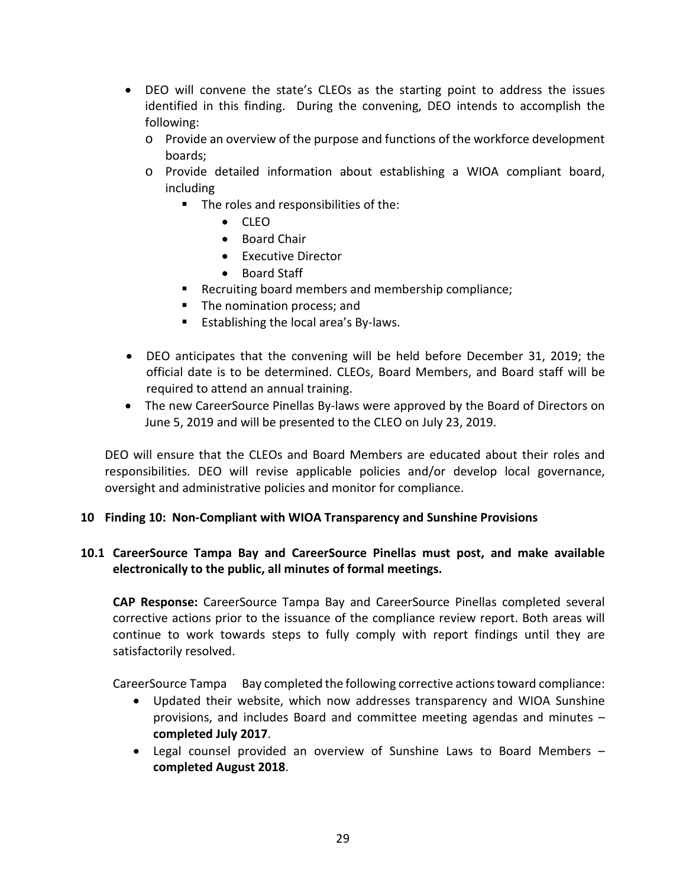- DEO will convene the state's CLEOs as the starting point to address the issues identified in this finding. During the convening, DEO intends to accomplish the following:
	- o Provide an overview of the purpose and functions of the workforce development boards;
	- o Provide detailed information about establishing a WIOA compliant board, including
		- The roles and responsibilities of the:
			- CLEO
			- Board Chair
			- Executive Director
			- Board Staff
		- **Recruiting board members and membership compliance;**
		- The nomination process; and
		- **Establishing the local area's By-laws.**
- DEO anticipates that the convening will be held before December 31, 2019; the official date is to be determined. CLEOs, Board Members, and Board staff will be required to attend an annual training.
- The new CareerSource Pinellas By-laws were approved by the Board of Directors on June 5, 2019 and will be presented to the CLEO on July 23, 2019.

DEO will ensure that the CLEOs and Board Members are educated about their roles and responsibilities. DEO will revise applicable policies and/or develop local governance, oversight and administrative policies and monitor for compliance.

### **10 Finding 10: Non-Compliant with WIOA Transparency and Sunshine Provisions**

### **10.1 CareerSource Tampa Bay and CareerSource Pinellas must post, and make available electronically to the public, all minutes of formal meetings.**

**CAP Response:** CareerSource Tampa Bay and CareerSource Pinellas completed several corrective actions prior to the issuance of the compliance review report. Both areas will continue to work towards steps to fully comply with report findings until they are satisfactorily resolved.

CareerSource Tampa Bay completed the following corrective actions toward compliance:

- Updated their website, which now addresses transparency and WIOA Sunshine provisions, and includes Board and committee meeting agendas and minutes *–* **completed July 2017**.
- Legal counsel provided an overview of Sunshine Laws to Board Members **completed August 2018**.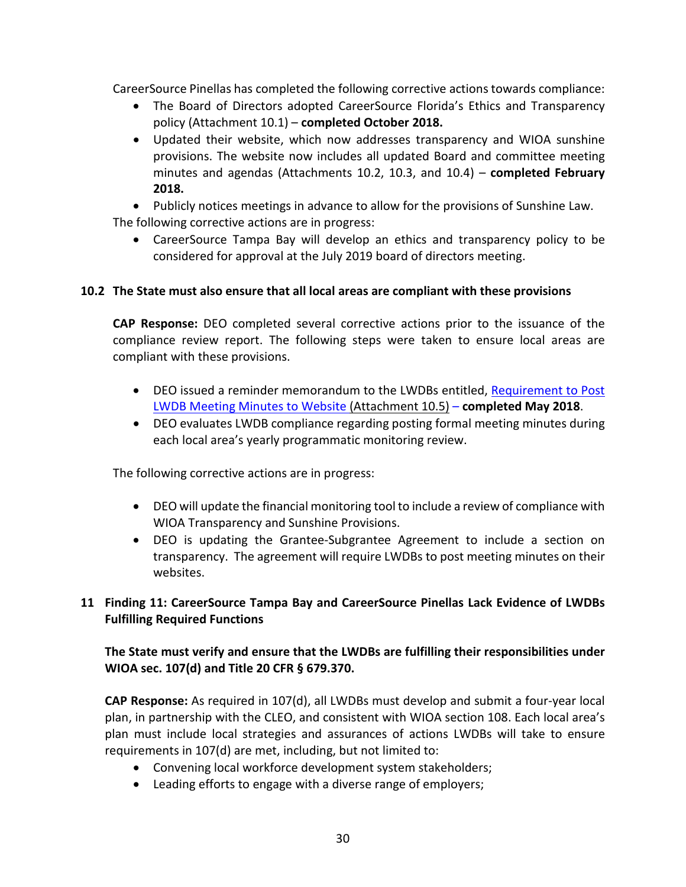CareerSource Pinellas has completed the following corrective actions towards compliance:

- The Board of Directors adopted CareerSource Florida's Ethics and Transparency policy (Attachment 10.1) – **completed October 2018.**
- Updated their website, which now addresses transparency and WIOA sunshine provisions. The website now includes all updated Board and committee meeting minutes and agendas (Attachments 10.2, 10.3, and 10.4) – **completed February 2018.**
- Publicly notices meetings in advance to allow for the provisions of Sunshine Law. The following corrective actions are in progress:
	- CareerSource Tampa Bay will develop an ethics and transparency policy to be considered for approval at the July 2019 board of directors meeting.

### **10.2 The State must also ensure that all local areas are compliant with these provisions**

**CAP Response:** DEO completed several corrective actions prior to the issuance of the compliance review report. The following steps were taken to ensure local areas are compliant with these provisions.

- DEO issued a reminder memorandum to the LWDBs entitled, Requirement to Post [LWDB Meeting Minutes to](http://www.floridajobs.org/docs/default-source/lwdb-resources/policy-and-guidance/memos/2018-memos/memo_posting-of-local-board-meeting-minutes.pdf?sfvrsn=2) Website (Attachment 10.5) – **completed May 2018**.
- DEO evaluates LWDB compliance regarding posting formal meeting minutes during each local area's yearly programmatic monitoring review.

The following corrective actions are in progress:

- DEO will update the financial monitoring tool to include a review of compliance with WIOA Transparency and Sunshine Provisions.
- DEO is updating the Grantee-Subgrantee Agreement to include a section on transparency. The agreement will require LWDBs to post meeting minutes on their websites.

### **11 Finding 11: CareerSource Tampa Bay and CareerSource Pinellas Lack Evidence of LWDBs Fulfilling Required Functions**

## **The State must verify and ensure that the LWDBs are fulfilling their responsibilities under WIOA sec. 107(d) and Title 20 CFR § 679.370.**

**CAP Response:** As required in 107(d), all LWDBs must develop and submit a four-year local plan, in partnership with the CLEO, and consistent with WIOA section 108. Each local area's plan must include local strategies and assurances of actions LWDBs will take to ensure requirements in 107(d) are met, including, but not limited to:

- Convening local workforce development system stakeholders;
- Leading efforts to engage with a diverse range of employers;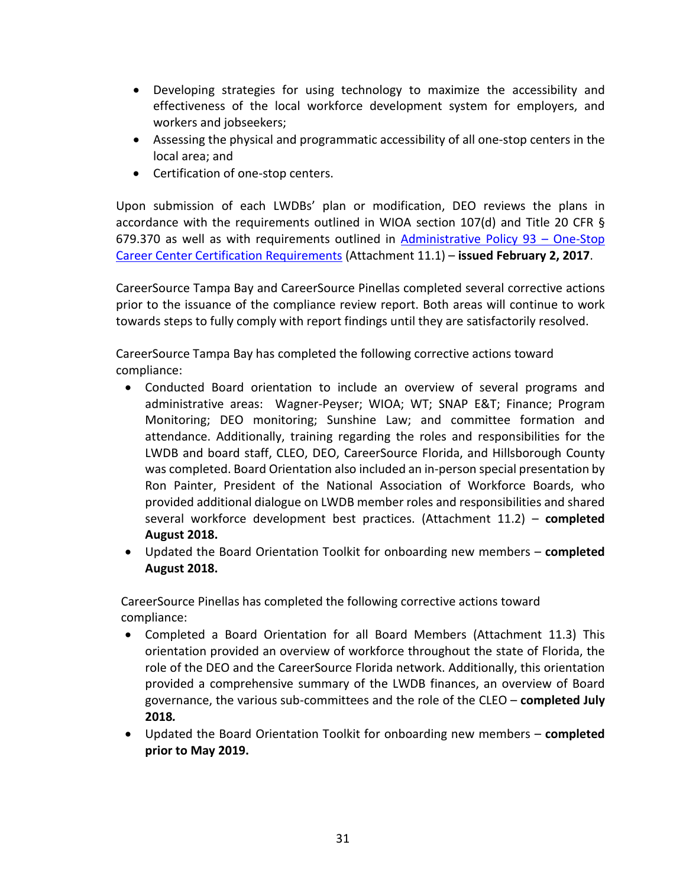- Developing strategies for using technology to maximize the accessibility and effectiveness of the local workforce development system for employers, and workers and jobseekers;
- Assessing the physical and programmatic accessibility of all one-stop centers in the local area; and
- Certification of one-stop centers.

Upon submission of each LWDBs' plan or modification, DEO reviews the plans in accordance with the requirements outlined in WIOA section 107(d) and Title 20 CFR § 679.370 as well as with requirements outlined in  $Administ$ rative Policy 93 – One-Stop [Career Center Certification Requirements](http://www.floridajobs.org/docs/default-source/2017-guidance-papers/oscc_certification-ap93.pdf?sfvrsn=4) (Attachment 11.1) – **issued February 2, 2017**.

CareerSource Tampa Bay and CareerSource Pinellas completed several corrective actions prior to the issuance of the compliance review report. Both areas will continue to work towards steps to fully comply with report findings until they are satisfactorily resolved.

CareerSource Tampa Bay has completed the following corrective actions toward compliance:

- Conducted Board orientation to include an overview of several programs and administrative areas: Wagner-Peyser; WIOA; WT; SNAP E&T; Finance; Program Monitoring; DEO monitoring; Sunshine Law; and committee formation and attendance. Additionally, training regarding the roles and responsibilities for the LWDB and board staff, CLEO, DEO, CareerSource Florida, and Hillsborough County was completed. Board Orientation also included an in-person special presentation by Ron Painter, President of the National Association of Workforce Boards, who provided additional dialogue on LWDB member roles and responsibilities and shared several workforce development best practices. (Attachment 11.2) – **completed August 2018.**
- Updated the Board Orientation Toolkit for onboarding new members **completed August 2018.**

CareerSource Pinellas has completed the following corrective actions toward compliance:

- Completed a Board Orientation for all Board Members (Attachment 11.3) This orientation provided an overview of workforce throughout the state of Florida, the role of the DEO and the CareerSource Florida network. Additionally, this orientation provided a comprehensive summary of the LWDB finances, an overview of Board governance, the various sub-committees and the role of the CLEO – **completed July 2018***.*
- Updated the Board Orientation Toolkit for onboarding new members **completed prior to May 2019.**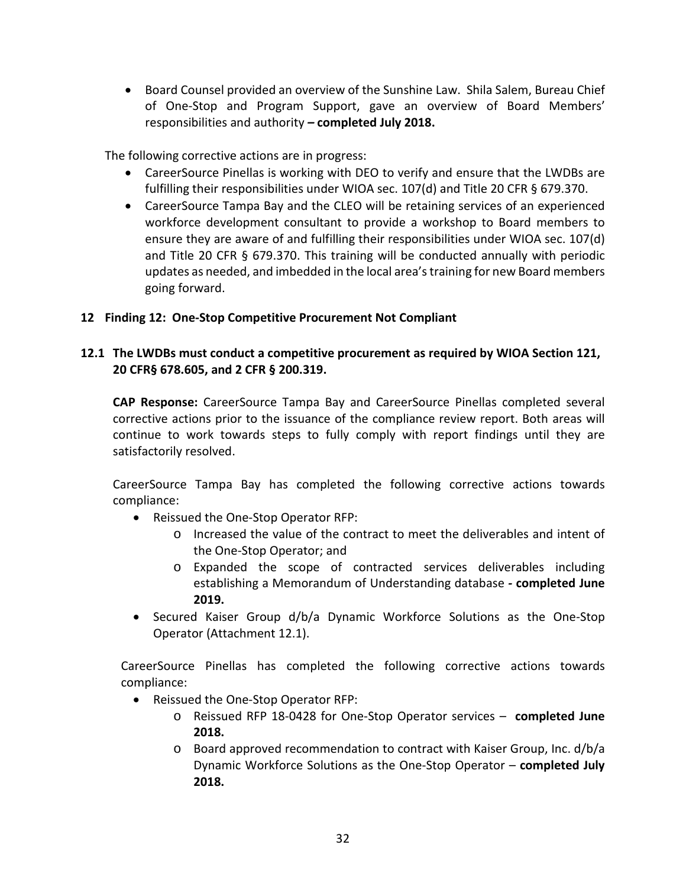• Board Counsel provided an overview of the Sunshine Law. Shila Salem, Bureau Chief of One-Stop and Program Support, gave an overview of Board Members' responsibilities and authority *–* **completed July 2018.**

The following corrective actions are in progress:

- CareerSource Pinellas is working with DEO to verify and ensure that the LWDBs are fulfilling their responsibilities under WIOA sec. 107(d) and Title 20 CFR § 679.370.
- CareerSource Tampa Bay and the CLEO will be retaining services of an experienced workforce development consultant to provide a workshop to Board members to ensure they are aware of and fulfilling their responsibilities under WIOA sec. 107(d) and Title 20 CFR § 679.370. This training will be conducted annually with periodic updates as needed, and imbedded in the local area'straining for new Board members going forward.

### **12 Finding 12: One-Stop Competitive Procurement Not Compliant**

## **12.1 The LWDBs must conduct a competitive procurement as required by WIOA Section 121, 20 CFR§ 678.605, and 2 CFR § 200.319.**

**CAP Response:** CareerSource Tampa Bay and CareerSource Pinellas completed several corrective actions prior to the issuance of the compliance review report. Both areas will continue to work towards steps to fully comply with report findings until they are satisfactorily resolved.

CareerSource Tampa Bay has completed the following corrective actions towards compliance:

- Reissued the One-Stop Operator RFP:
	- o Increased the value of the contract to meet the deliverables and intent of the One-Stop Operator; and
	- o Expanded the scope of contracted services deliverables including establishing a Memorandum of Understanding database *-* **completed June 2019.**
- Secured Kaiser Group d/b/a Dynamic Workforce Solutions as the One-Stop Operator (Attachment 12.1).

CareerSource Pinellas has completed the following corrective actions towards compliance:

- Reissued the One-Stop Operator RFP:
	- o Reissued RFP 18-0428 for One-Stop Operator services **completed June 2018.**
	- o Board approved recommendation to contract with Kaiser Group, Inc. d/b/a Dynamic Workforce Solutions as the One-Stop Operator – **completed July 2018.**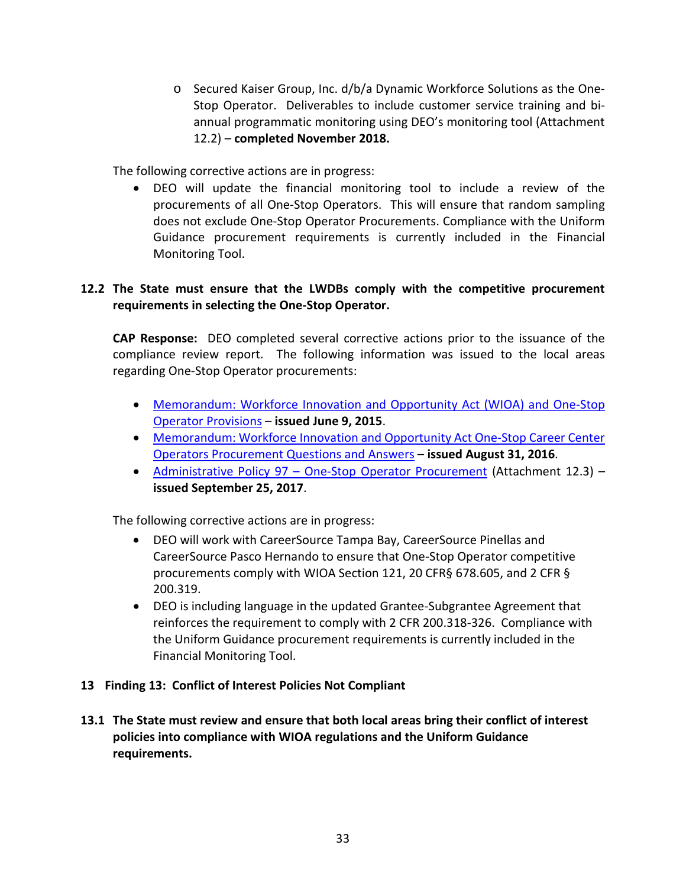o Secured Kaiser Group, Inc. d/b/a Dynamic Workforce Solutions as the One-Stop Operator. Deliverables to include customer service training and biannual programmatic monitoring using DEO's monitoring tool (Attachment 12.2) – **completed November 2018.**

The following corrective actions are in progress:

• DEO will update the financial monitoring tool to include a review of the procurements of all One-Stop Operators. This will ensure that random sampling does not exclude One-Stop Operator Procurements. Compliance with the Uniform Guidance procurement requirements is currently included in the Financial Monitoring Tool.

### **12.2 The State must ensure that the LWDBs comply with the competitive procurement requirements in selecting the One-Stop Operator.**

**CAP Response:** DEO completed several corrective actions prior to the issuance of the compliance review report. The following information was issued to the local areas regarding One-Stop Operator procurements:

- [Memorandum: Workforce Innovation and Opportunity Act \(WIOA\) and One-Stop](http://floridajobs.org/docs/default-source/lwdb-resources/policy-and-guidance/memos/2015-memoranda/memo_wioa_one-stopoperators.pdf?sfvrsn=2)  [Operator Provisions](http://floridajobs.org/docs/default-source/lwdb-resources/policy-and-guidance/memos/2015-memoranda/memo_wioa_one-stopoperators.pdf?sfvrsn=2) – **issued June 9, 2015**.
- [Memorandum: Workforce Innovation and Opportunity Act One-Stop Career Center](http://floridajobs.org/docs/default-source/lwdb-resources/policy-and-guidance/memos/2016-memoranda/memo_one-stopoperatorprocurement_qa.pdf?sfvrsn=2)  [Operators Procurement Questions and Answers](http://floridajobs.org/docs/default-source/lwdb-resources/policy-and-guidance/memos/2016-memoranda/memo_one-stopoperatorprocurement_qa.pdf?sfvrsn=2) – **issued August 31, 2016**.
- Administrative Policy 97 [One-Stop Operator Procurement](http://www.floridajobs.org/docs/default-source/lwdb-resources/policy-and-guidance/guidance-papers/2017-guidance-papers/adminpol097_onestopprocurement_final_9252017.pdf?sfvrsn=6) (Attachment 12.3) **issued September 25, 2017**.

The following corrective actions are in progress:

- DEO will work with CareerSource Tampa Bay, CareerSource Pinellas and CareerSource Pasco Hernando to ensure that One-Stop Operator competitive procurements comply with WIOA Section 121, 20 CFR§ 678.605, and 2 CFR § 200.319.
- DEO is including language in the updated Grantee-Subgrantee Agreement that reinforces the requirement to comply with 2 CFR 200.318-326. Compliance with the Uniform Guidance procurement requirements is currently included in the Financial Monitoring Tool.

#### **13 Finding 13: Conflict of Interest Policies Not Compliant**

**13.1 The State must review and ensure that both local areas bring their conflict of interest policies into compliance with WIOA regulations and the Uniform Guidance requirements.**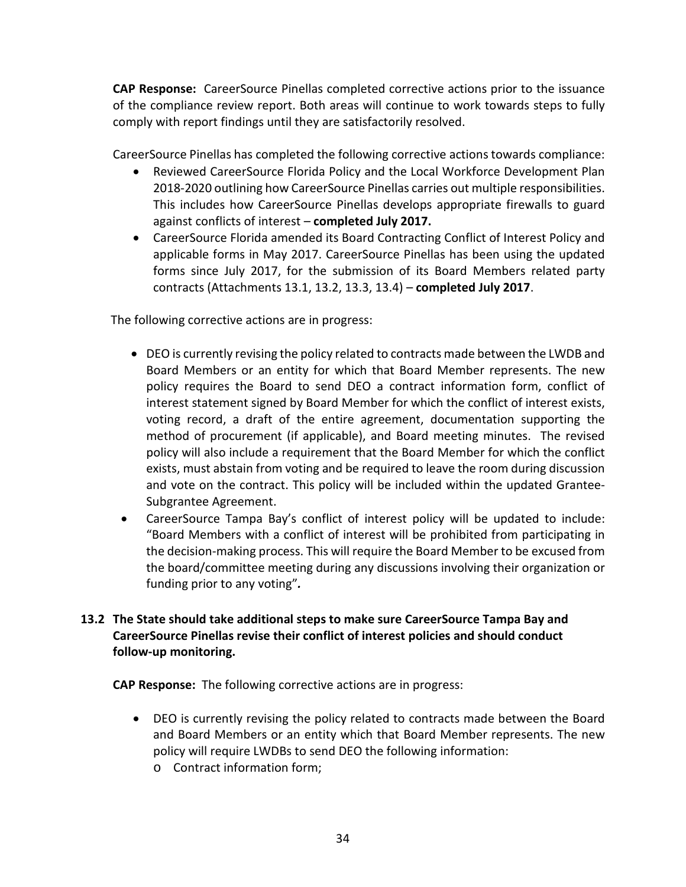**CAP Response:** CareerSource Pinellas completed corrective actions prior to the issuance of the compliance review report. Both areas will continue to work towards steps to fully comply with report findings until they are satisfactorily resolved.

CareerSource Pinellas has completed the following corrective actions towards compliance:

- Reviewed CareerSource Florida Policy and the Local Workforce Development Plan 2018-2020 outlining how CareerSource Pinellas carries out multiple responsibilities. This includes how CareerSource Pinellas develops appropriate firewalls to guard against conflicts of interest – **completed July 2017.**
- CareerSource Florida amended its Board Contracting Conflict of Interest Policy and applicable forms in May 2017. CareerSource Pinellas has been using the updated forms since July 2017, for the submission of its Board Members related party contracts (Attachments 13.1, 13.2, 13.3, 13.4) – **completed July 2017**.

The following corrective actions are in progress:

- DEO is currently revising the policy related to contracts made between the LWDB and Board Members or an entity for which that Board Member represents. The new policy requires the Board to send DEO a contract information form, conflict of interest statement signed by Board Member for which the conflict of interest exists, voting record, a draft of the entire agreement, documentation supporting the method of procurement (if applicable), and Board meeting minutes. The revised policy will also include a requirement that the Board Member for which the conflict exists, must abstain from voting and be required to leave the room during discussion and vote on the contract. This policy will be included within the updated Grantee-Subgrantee Agreement.
- CareerSource Tampa Bay's conflict of interest policy will be updated to include: "Board Members with a conflict of interest will be prohibited from participating in the decision-making process. This will require the Board Member to be excused from the board/committee meeting during any discussions involving their organization or funding prior to any voting"*.*

## **13.2 The State should take additional steps to make sure CareerSource Tampa Bay and CareerSource Pinellas revise their conflict of interest policies and should conduct follow-up monitoring.**

**CAP Response:** The following corrective actions are in progress:

- DEO is currently revising the policy related to contracts made between the Board and Board Members or an entity which that Board Member represents. The new policy will require LWDBs to send DEO the following information:
	- o Contract information form;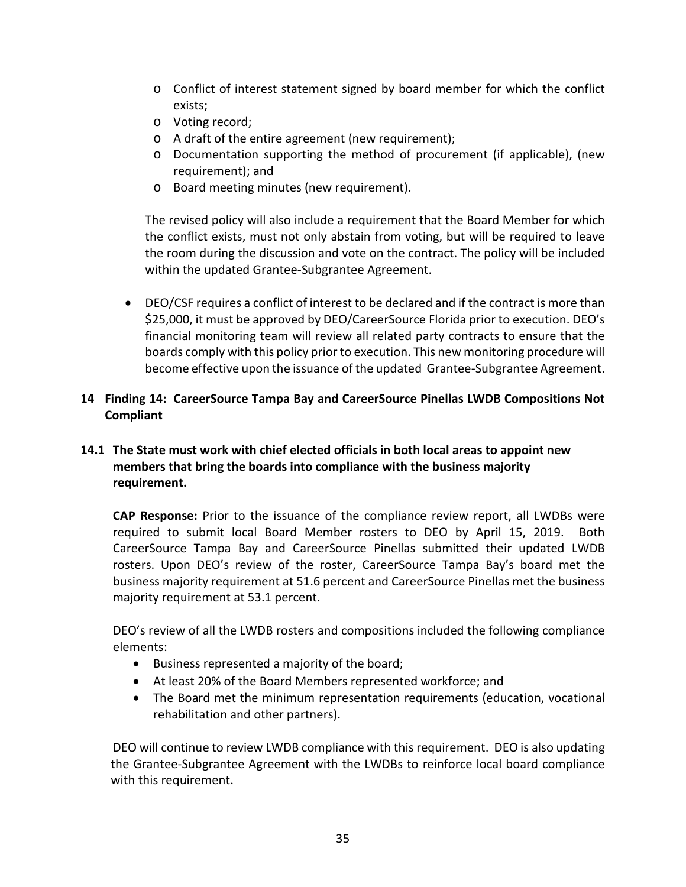- o Conflict of interest statement signed by board member for which the conflict exists;
- o Voting record;
- o A draft of the entire agreement (new requirement);
- o Documentation supporting the method of procurement (if applicable), (new requirement); and
- o Board meeting minutes (new requirement).

The revised policy will also include a requirement that the Board Member for which the conflict exists, must not only abstain from voting, but will be required to leave the room during the discussion and vote on the contract. The policy will be included within the updated Grantee-Subgrantee Agreement.

• DEO/CSF requires a conflict of interest to be declared and if the contract is more than \$25,000, it must be approved by DEO/CareerSource Florida prior to execution. DEO's financial monitoring team will review all related party contracts to ensure that the boards comply with this policy prior to execution. This new monitoring procedure will become effective upon the issuance of the updated Grantee-Subgrantee Agreement.

### **14 Finding 14: CareerSource Tampa Bay and CareerSource Pinellas LWDB Compositions Not Compliant**

## **14.1 The State must work with chief elected officials in both local areas to appoint new members that bring the boards into compliance with the business majority requirement.**

**CAP Response:** Prior to the issuance of the compliance review report, all LWDBs were required to submit local Board Member rosters to DEO by April 15, 2019. Both CareerSource Tampa Bay and CareerSource Pinellas submitted their updated LWDB rosters. Upon DEO's review of the roster, CareerSource Tampa Bay's board met the business majority requirement at 51.6 percent and CareerSource Pinellas met the business majority requirement at 53.1 percent.

DEO's review of all the LWDB rosters and compositions included the following compliance elements:

- Business represented a majority of the board;
- At least 20% of the Board Members represented workforce; and
- The Board met the minimum representation requirements (education, vocational rehabilitation and other partners).

DEO will continue to review LWDB compliance with this requirement. DEO is also updating the Grantee-Subgrantee Agreement with the LWDBs to reinforce local board compliance with this requirement.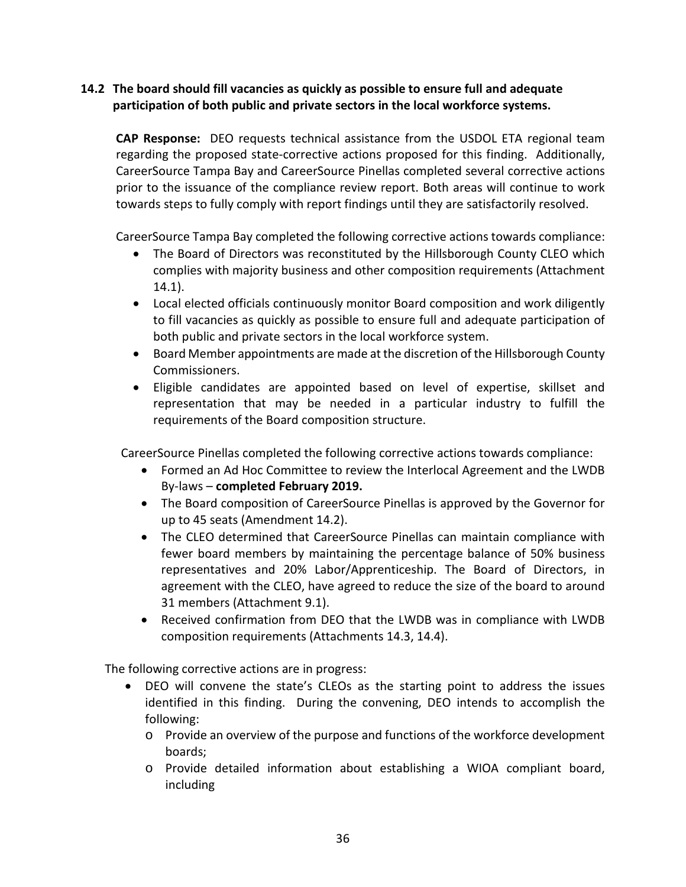## **14.2 The board should fill vacancies as quickly as possible to ensure full and adequate participation of both public and private sectors in the local workforce systems.**

**CAP Response:** DEO requests technical assistance from the USDOL ETA regional team regarding the proposed state-corrective actions proposed for this finding. Additionally, CareerSource Tampa Bay and CareerSource Pinellas completed several corrective actions prior to the issuance of the compliance review report. Both areas will continue to work towards steps to fully comply with report findings until they are satisfactorily resolved.

CareerSource Tampa Bay completed the following corrective actions towards compliance:

- The Board of Directors was reconstituted by the Hillsborough County CLEO which complies with majority business and other composition requirements (Attachment 14.1).
- Local elected officials continuously monitor Board composition and work diligently to fill vacancies as quickly as possible to ensure full and adequate participation of both public and private sectors in the local workforce system.
- Board Member appointments are made at the discretion of the Hillsborough County Commissioners.
- Eligible candidates are appointed based on level of expertise, skillset and representation that may be needed in a particular industry to fulfill the requirements of the Board composition structure.

CareerSource Pinellas completed the following corrective actions towards compliance:

- Formed an Ad Hoc Committee to review the Interlocal Agreement and the LWDB By-laws – **completed February 2019.**
- The Board composition of CareerSource Pinellas is approved by the Governor for up to 45 seats (Amendment 14.2).
- The CLEO determined that CareerSource Pinellas can maintain compliance with fewer board members by maintaining the percentage balance of 50% business representatives and 20% Labor/Apprenticeship. The Board of Directors, in agreement with the CLEO, have agreed to reduce the size of the board to around 31 members (Attachment 9.1).
- Received confirmation from DEO that the LWDB was in compliance with LWDB composition requirements (Attachments 14.3, 14.4).

The following corrective actions are in progress:

- DEO will convene the state's CLEOs as the starting point to address the issues identified in this finding. During the convening, DEO intends to accomplish the following:
	- o Provide an overview of the purpose and functions of the workforce development boards;
	- o Provide detailed information about establishing a WIOA compliant board, including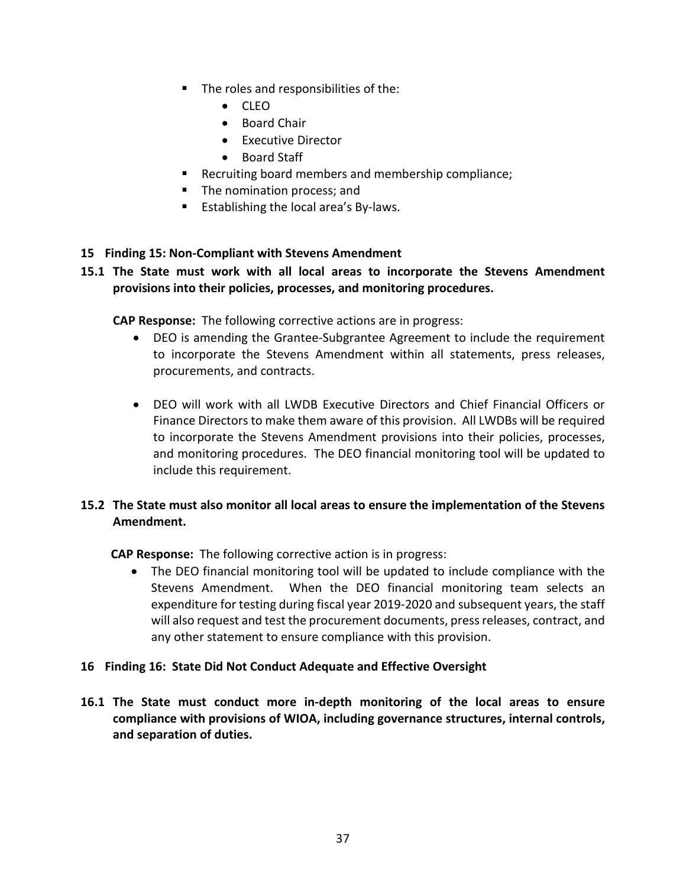- The roles and responsibilities of the:
	- CLEO
	- Board Chair
	- Executive Director
	- Board Staff
- Recruiting board members and membership compliance;
- The nomination process; and
- Establishing the local area's By-laws.

#### **15 Finding 15: Non-Compliant with Stevens Amendment**

#### **15.1 The State must work with all local areas to incorporate the Stevens Amendment provisions into their policies, processes, and monitoring procedures.**

**CAP Response:** The following corrective actions are in progress:

- DEO is amending the Grantee-Subgrantee Agreement to include the requirement to incorporate the Stevens Amendment within all statements, press releases, procurements, and contracts.
- DEO will work with all LWDB Executive Directors and Chief Financial Officers or Finance Directors to make them aware of this provision. All LWDBs will be required to incorporate the Stevens Amendment provisions into their policies, processes, and monitoring procedures. The DEO financial monitoring tool will be updated to include this requirement.

### **15.2 The State must also monitor all local areas to ensure the implementation of the Stevens Amendment.**

**CAP Response:** The following corrective action is in progress:

• The DEO financial monitoring tool will be updated to include compliance with the Stevens Amendment. When the DEO financial monitoring team selects an expenditure for testing during fiscal year 2019-2020 and subsequent years, the staff will also request and test the procurement documents, press releases, contract, and any other statement to ensure compliance with this provision.

#### **16 Finding 16: State Did Not Conduct Adequate and Effective Oversight**

**16.1 The State must conduct more in-depth monitoring of the local areas to ensure compliance with provisions of WIOA, including governance structures, internal controls, and separation of duties.**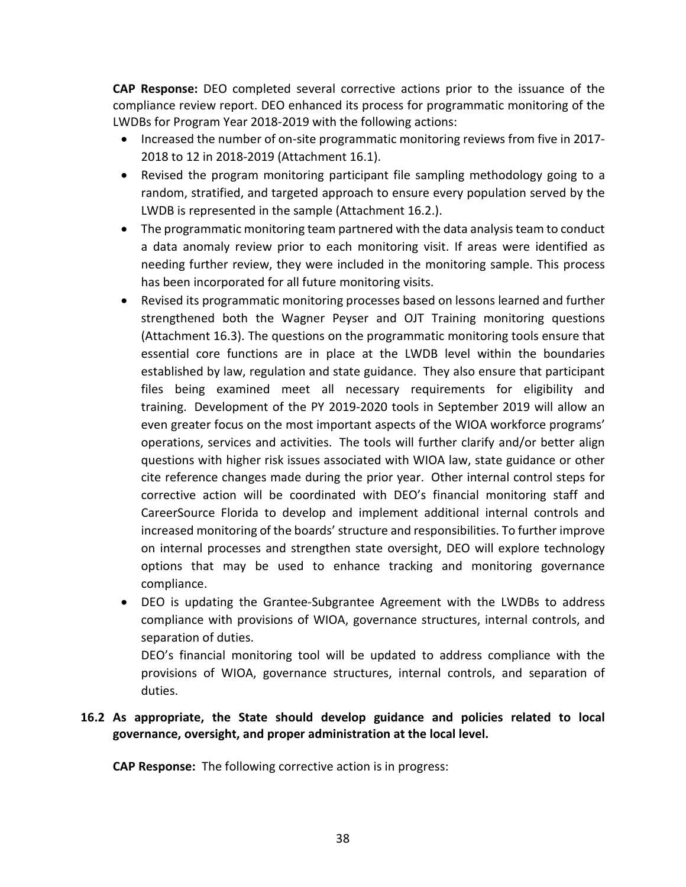**CAP Response:** DEO completed several corrective actions prior to the issuance of the compliance review report. DEO enhanced its process for programmatic monitoring of the LWDBs for Program Year 2018-2019 with the following actions:

- Increased the number of on-site programmatic monitoring reviews from five in 2017- 2018 to 12 in 2018-2019 (Attachment 16.1).
- Revised the program monitoring participant file sampling methodology going to a random, stratified, and targeted approach to ensure every population served by the LWDB is represented in the sample (Attachment 16.2.).
- The programmatic monitoring team partnered with the data analysis team to conduct a data anomaly review prior to each monitoring visit. If areas were identified as needing further review, they were included in the monitoring sample. This process has been incorporated for all future monitoring visits.
- Revised its programmatic monitoring processes based on lessons learned and further strengthened both the Wagner Peyser and OJT Training monitoring questions (Attachment 16.3). The questions on the programmatic monitoring tools ensure that essential core functions are in place at the LWDB level within the boundaries established by law, regulation and state guidance. They also ensure that participant files being examined meet all necessary requirements for eligibility and training. Development of the PY 2019-2020 tools in September 2019 will allow an even greater focus on the most important aspects of the WIOA workforce programs' operations, services and activities. The tools will further clarify and/or better align questions with higher risk issues associated with WIOA law, state guidance or other cite reference changes made during the prior year. Other internal control steps for corrective action will be coordinated with DEO's financial monitoring staff and CareerSource Florida to develop and implement additional internal controls and increased monitoring of the boards' structure and responsibilities. To further improve on internal processes and strengthen state oversight, DEO will explore technology options that may be used to enhance tracking and monitoring governance compliance.
- DEO is updating the Grantee-Subgrantee Agreement with the LWDBs to address compliance with provisions of WIOA, governance structures, internal controls, and separation of duties.

DEO's financial monitoring tool will be updated to address compliance with the provisions of WIOA, governance structures, internal controls, and separation of duties.

## **16.2 As appropriate, the State should develop guidance and policies related to local governance, oversight, and proper administration at the local level.**

**CAP Response:** The following corrective action is in progress: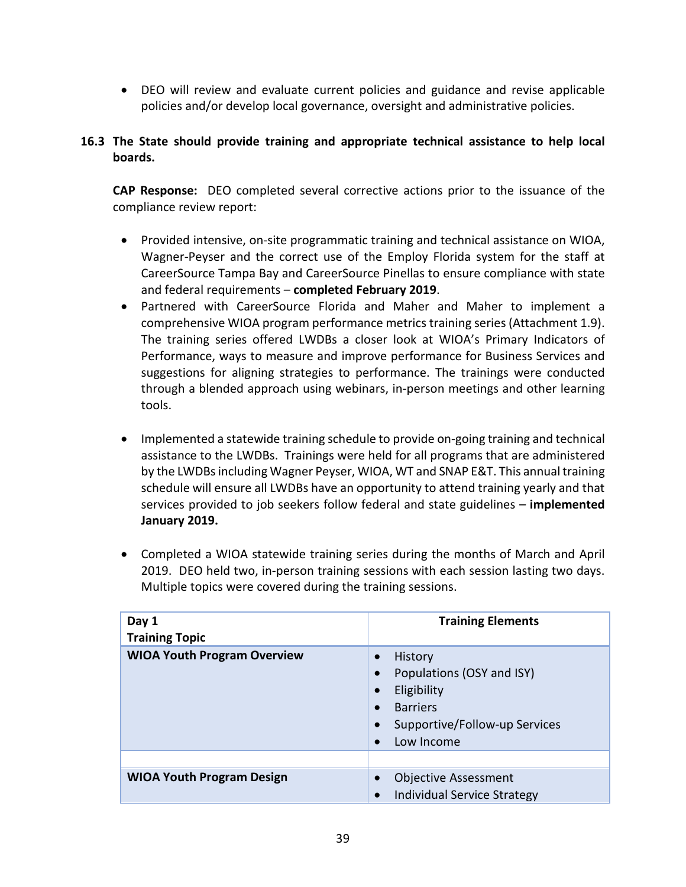• DEO will review and evaluate current policies and guidance and revise applicable policies and/or develop local governance, oversight and administrative policies.

## **16.3 The State should provide training and appropriate technical assistance to help local boards.**

**CAP Response:** DEO completed several corrective actions prior to the issuance of the compliance review report:

- Provided intensive, on-site programmatic training and technical assistance on WIOA, Wagner-Peyser and the correct use of the Employ Florida system for the staff at CareerSource Tampa Bay and CareerSource Pinellas to ensure compliance with state and federal requirements – **completed February 2019**.
- Partnered with CareerSource Florida and Maher and Maher to implement a comprehensive WIOA program performance metrics training series (Attachment 1.9). The training series offered LWDBs a closer look at WIOA's Primary Indicators of Performance, ways to measure and improve performance for Business Services and suggestions for aligning strategies to performance. The trainings were conducted through a blended approach using webinars, in-person meetings and other learning tools.
- Implemented a statewide training schedule to provide on-going training and technical assistance to the LWDBs. Trainings were held for all programs that are administered by the LWDBsincluding Wagner Peyser, WIOA, WT and SNAP E&T. This annual training schedule will ensure all LWDBs have an opportunity to attend training yearly and that services provided to job seekers follow federal and state guidelines – **implemented January 2019.**
- Completed a WIOA statewide training series during the months of March and April 2019. DEO held two, in-person training sessions with each session lasting two days. Multiple topics were covered during the training sessions.

| Day 1<br><b>Training Topic</b>     | <b>Training Elements</b>                                                                                                           |
|------------------------------------|------------------------------------------------------------------------------------------------------------------------------------|
| <b>WIOA Youth Program Overview</b> | History<br>Populations (OSY and ISY)<br>Eligibility<br>$\bullet$<br><b>Barriers</b><br>Supportive/Follow-up Services<br>Low Income |
|                                    |                                                                                                                                    |
| <b>WIOA Youth Program Design</b>   | <b>Objective Assessment</b><br>Individual Service Strategy                                                                         |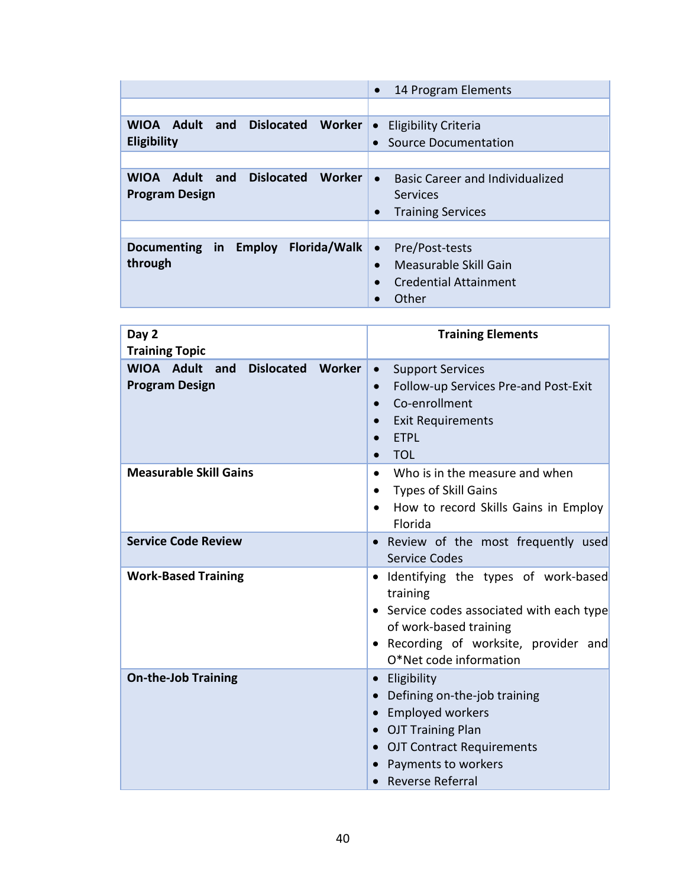|                                                                        | 14 Program Elements<br>$\bullet$                                                                                        |
|------------------------------------------------------------------------|-------------------------------------------------------------------------------------------------------------------------|
|                                                                        |                                                                                                                         |
| WIOA Adult<br><b>Dislocated</b><br>and<br>Worker                       | <b>Eligibility Criteria</b><br>$\bullet$                                                                                |
| <b>Eligibility</b>                                                     | Source Documentation                                                                                                    |
|                                                                        |                                                                                                                         |
| Adult and Dislocated<br>Worker<br><b>WIOA</b><br><b>Program Design</b> | <b>Basic Career and Individualized</b><br>$\bullet$<br><b>Services</b><br><b>Training Services</b><br>$\bullet$         |
|                                                                        |                                                                                                                         |
| <b>Florida/Walk</b><br>Documenting in Employ<br>through                | Pre/Post-tests<br>$\bullet$<br>Measurable Skill Gain<br>$\bullet$<br><b>Credential Attainment</b><br>$\bullet$<br>Other |

| Day 2<br><b>Training Topic</b>                                                   | <b>Training Elements</b>                                                                                                                                                                                   |
|----------------------------------------------------------------------------------|------------------------------------------------------------------------------------------------------------------------------------------------------------------------------------------------------------|
| <b>WIOA Adult</b><br><b>Dislocated</b><br>Worker<br>and<br><b>Program Design</b> | <b>Support Services</b><br>$\bullet$<br>Follow-up Services Pre-and Post-Exit<br>$\bullet$<br>Co-enrollment<br>$\bullet$<br><b>Exit Requirements</b><br>$\bullet$<br><b>ETPL</b><br>$\bullet$<br><b>TOL</b> |
| <b>Measurable Skill Gains</b>                                                    | Who is in the measure and when<br>$\bullet$<br><b>Types of Skill Gains</b><br>$\bullet$<br>How to record Skills Gains in Employ<br>$\bullet$<br>Florida                                                    |
| <b>Service Code Review</b>                                                       | Review of the most frequently used<br><b>Service Codes</b>                                                                                                                                                 |
| <b>Work-Based Training</b>                                                       | · Identifying the types of work-based<br>training<br>• Service codes associated with each type<br>of work-based training<br>Recording of worksite, provider and<br>O*Net code information                  |
| <b>On-the-Job Training</b>                                                       | • Eligibility<br>Defining on-the-job training<br><b>Employed workers</b><br>• OJT Training Plan<br><b>OJT Contract Requirements</b><br>Payments to workers<br><b>Reverse Referral</b>                      |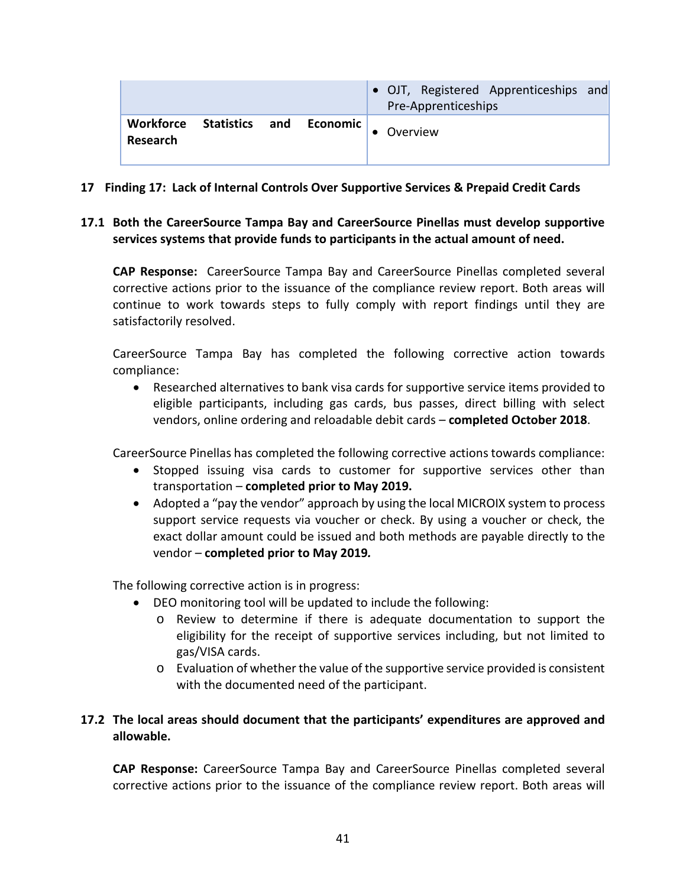|                       |  |                         | • OJT, Registered Apprenticeships and<br>Pre-Apprenticeships |
|-----------------------|--|-------------------------|--------------------------------------------------------------|
| Workforce<br>Research |  | Statistics and Economic | Overview                                                     |

- **17 Finding 17: Lack of Internal Controls Over Supportive Services & Prepaid Credit Cards**
- **17.1 Both the CareerSource Tampa Bay and CareerSource Pinellas must develop supportive services systems that provide funds to participants in the actual amount of need.**

**CAP Response:** CareerSource Tampa Bay and CareerSource Pinellas completed several corrective actions prior to the issuance of the compliance review report. Both areas will continue to work towards steps to fully comply with report findings until they are satisfactorily resolved.

CareerSource Tampa Bay has completed the following corrective action towards compliance:

• Researched alternatives to bank visa cards for supportive service items provided to eligible participants, including gas cards, bus passes, direct billing with select vendors, online ordering and reloadable debit cards – **completed October 2018**.

CareerSource Pinellas has completed the following corrective actions towards compliance:

- Stopped issuing visa cards to customer for supportive services other than transportation – **completed prior to May 2019.**
- Adopted a "pay the vendor" approach by using the local MICROIX system to process support service requests via voucher or check. By using a voucher or check, the exact dollar amount could be issued and both methods are payable directly to the vendor – **completed prior to May 2019***.*

The following corrective action is in progress:

- DEO monitoring tool will be updated to include the following:
	- o Review to determine if there is adequate documentation to support the eligibility for the receipt of supportive services including, but not limited to gas/VISA cards.
	- o Evaluation of whether the value of the supportive service provided is consistent with the documented need of the participant.

## **17.2 The local areas should document that the participants' expenditures are approved and allowable.**

**CAP Response:** CareerSource Tampa Bay and CareerSource Pinellas completed several corrective actions prior to the issuance of the compliance review report. Both areas will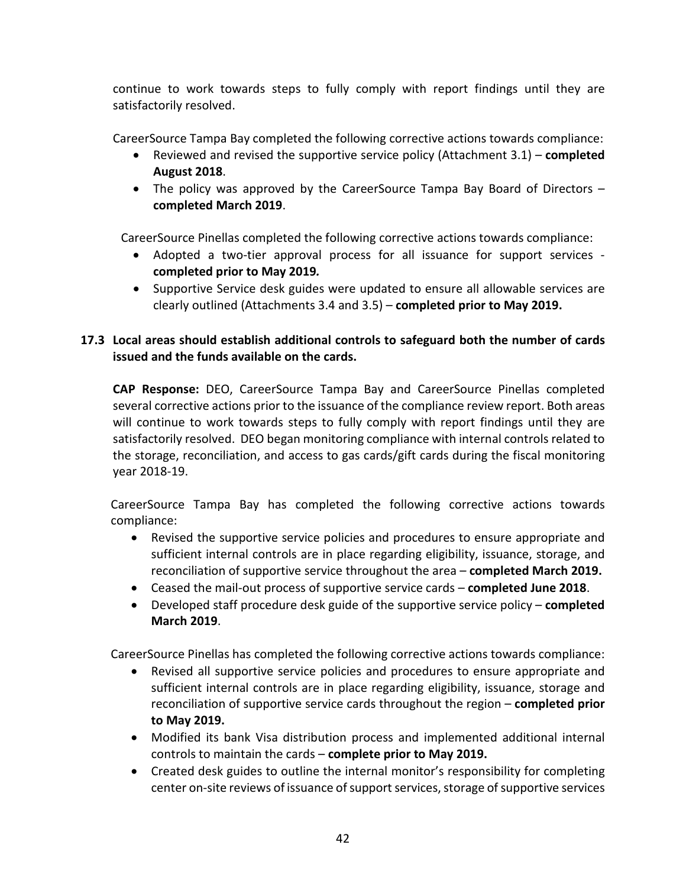continue to work towards steps to fully comply with report findings until they are satisfactorily resolved.

CareerSource Tampa Bay completed the following corrective actions towards compliance:

- Reviewed and revised the supportive service policy (Attachment 3.1) **completed August 2018**.
- The policy was approved by the CareerSource Tampa Bay Board of Directors **completed March 2019**.

CareerSource Pinellas completed the following corrective actions towards compliance:

- Adopted a two-tier approval process for all issuance for support services **completed prior to May 2019***.*
- Supportive Service desk guides were updated to ensure all allowable services are clearly outlined (Attachments 3.4 and 3.5) – **completed prior to May 2019.**

# **17.3 Local areas should establish additional controls to safeguard both the number of cards issued and the funds available on the cards.**

**CAP Response:** DEO, CareerSource Tampa Bay and CareerSource Pinellas completed several corrective actions prior to the issuance of the compliance review report. Both areas will continue to work towards steps to fully comply with report findings until they are satisfactorily resolved. DEO began monitoring compliance with internal controls related to the storage, reconciliation, and access to gas cards/gift cards during the fiscal monitoring year 2018-19.

CareerSource Tampa Bay has completed the following corrective actions towards compliance:

- Revised the supportive service policies and procedures to ensure appropriate and sufficient internal controls are in place regarding eligibility, issuance, storage, and reconciliation of supportive service throughout the area – **completed March 2019.**
- Ceased the mail-out process of supportive service cards **completed June 2018**.
- Developed staff procedure desk guide of the supportive service policy **completed March 2019**.

CareerSource Pinellas has completed the following corrective actions towards compliance:

- Revised all supportive service policies and procedures to ensure appropriate and sufficient internal controls are in place regarding eligibility, issuance, storage and reconciliation of supportive service cards throughout the region – **completed prior to May 2019.**
- Modified its bank Visa distribution process and implemented additional internal controls to maintain the cards – **complete prior to May 2019.**
- Created desk guides to outline the internal monitor's responsibility for completing center on-site reviews of issuance of support services, storage of supportive services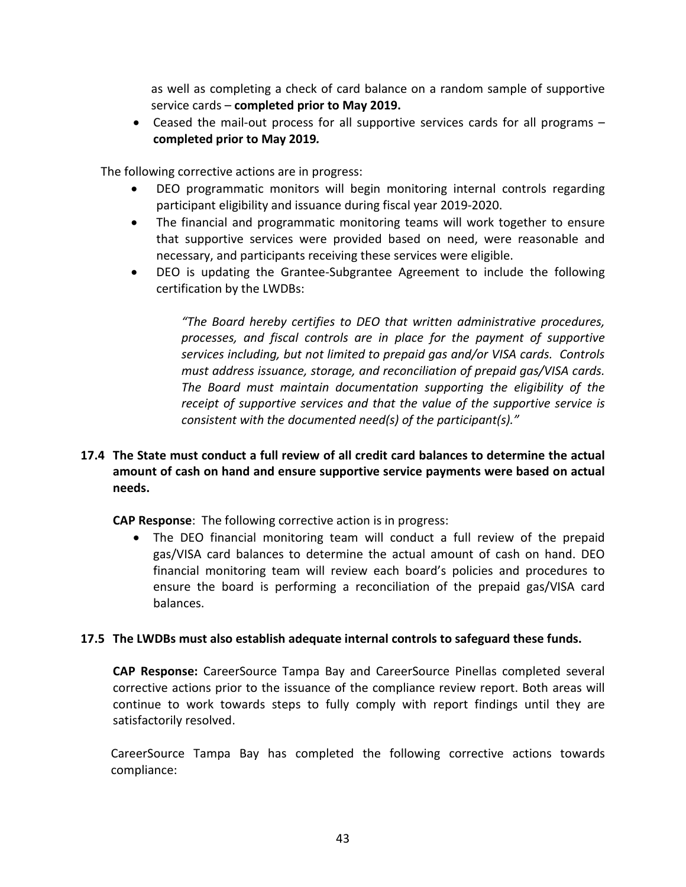as well as completing a check of card balance on a random sample of supportive service cards – **completed prior to May 2019.**

• Ceased the mail-out process for all supportive services cards for all programs – **completed prior to May 2019***.*

The following corrective actions are in progress:

- DEO programmatic monitors will begin monitoring internal controls regarding participant eligibility and issuance during fiscal year 2019-2020.
- The financial and programmatic monitoring teams will work together to ensure that supportive services were provided based on need, were reasonable and necessary, and participants receiving these services were eligible.
- DEO is updating the Grantee-Subgrantee Agreement to include the following certification by the LWDBs:

*"The Board hereby certifies to DEO that written administrative procedures, processes, and fiscal controls are in place for the payment of supportive services including, but not limited to prepaid gas and/or VISA cards. Controls must address issuance, storage, and reconciliation of prepaid gas/VISA cards. The Board must maintain documentation supporting the eligibility of the receipt of supportive services and that the value of the supportive service is consistent with the documented need(s) of the participant(s)."*

### **17.4 The State must conduct a full review of all credit card balances to determine the actual amount of cash on hand and ensure supportive service payments were based on actual needs.**

**CAP Response**: The following corrective action is in progress:

• The DEO financial monitoring team will conduct a full review of the prepaid gas/VISA card balances to determine the actual amount of cash on hand. DEO financial monitoring team will review each board's policies and procedures to ensure the board is performing a reconciliation of the prepaid gas/VISA card balances.

#### **17.5 The LWDBs must also establish adequate internal controls to safeguard these funds.**

**CAP Response:** CareerSource Tampa Bay and CareerSource Pinellas completed several corrective actions prior to the issuance of the compliance review report. Both areas will continue to work towards steps to fully comply with report findings until they are satisfactorily resolved.

CareerSource Tampa Bay has completed the following corrective actions towards compliance: